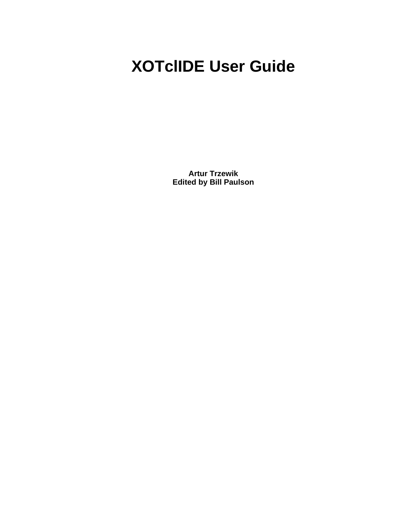# **XOTclIDE User Guide**

**Artur Trzewik Edited by Bill Paulson**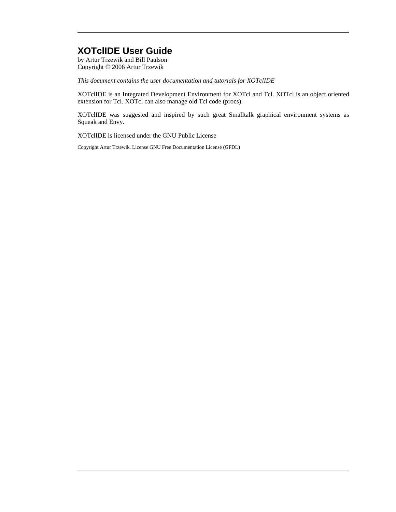#### **XOTclIDE User Guide**

by Artur Trzewik and Bill Paulson Copyright © 2006 Artur Trzewik

*This document contains the user documentation and tutorials for XOTclIDE*

XOTclIDE is an Integrated Development Environment for XOTcl and Tcl. XOTcl is an object oriented extension for Tcl. XOTcl can also manage old Tcl code (procs).

XOTclIDE was suggested and inspired by such great Smalltalk graphical environment systems as Squeak and Envy.

XOTclIDE is licensed under the GNU Public License

Copyright Artur Trzewik. License GNU Free Documentation License (GFDL)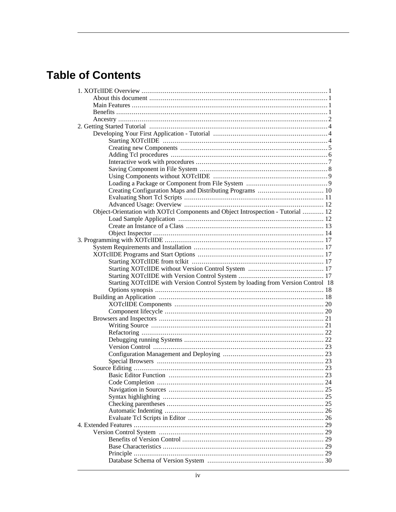# **Table of Contents**

| Object-Orientation with XOTcl Components and Object Introspection - Tutorial  12 |
|----------------------------------------------------------------------------------|
|                                                                                  |
|                                                                                  |
|                                                                                  |
|                                                                                  |
|                                                                                  |
|                                                                                  |
|                                                                                  |
|                                                                                  |
|                                                                                  |
| Starting XOTclIDE with Version Control System by loading from Version Control 18 |
|                                                                                  |
|                                                                                  |
|                                                                                  |
|                                                                                  |
|                                                                                  |
|                                                                                  |
|                                                                                  |
|                                                                                  |
|                                                                                  |
|                                                                                  |
|                                                                                  |
|                                                                                  |
|                                                                                  |
|                                                                                  |
|                                                                                  |
|                                                                                  |
|                                                                                  |
|                                                                                  |
|                                                                                  |
|                                                                                  |
|                                                                                  |
|                                                                                  |
|                                                                                  |
|                                                                                  |
|                                                                                  |
|                                                                                  |
|                                                                                  |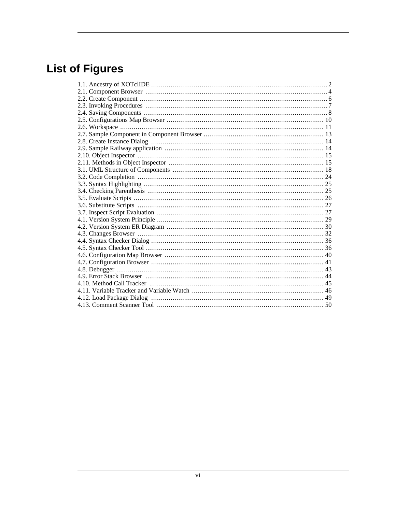# **List of Figures**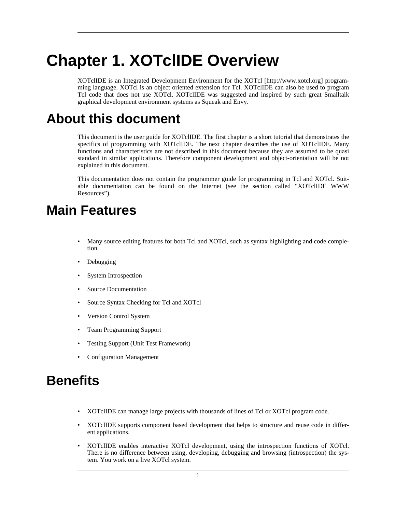# <span id="page-6-0"></span>**Chapter 1. XOTclIDE Overview**

<span id="page-6-1"></span>XOTclIDE is an Integrated Development Environment for the [XOTcl \[](http://www.xotcl.org)http://www.xotcl.org] programming language. XOTcl is an object oriented extension for Tcl. XOTclIDE can also be used to program Tcl code that does not use XOTcl. XOTclIDE was suggested and inspired by such great Smalltalk graphical development environment systems as Squeak and Envy.

# **About this document**

This document is the user guide for XOTclIDE. The first chapter is a short tutorial that demonstrates the specifics of programming with XOTclIDE. The next chapter describes the use of XOTclIDE. Many functions and characteristics are not described in this document because they are assumed to be quasi standard in similar applications. Therefore component development and object-orientation will be not explained in this document.

<span id="page-6-2"></span>This documentation does not contain the programmer guide for programming in Tcl and XOTcl. Suitable documentation can be found on the Internet (see the sect[ion called "XOTclIDE WWW](#page-58-2) Resources").

# **Main Features**

- Many source editing features for both Tcl and XOTcl, such as syntax highlighting and code completion
- Debugging
- System Introspection
- Source Documentation
- Source Syntax Checking for Tcl and XOTcl
- Version Control System
- Team Programming Support
- Testing Support (Unit Test Framework)
- <span id="page-6-3"></span>• Configuration Management

# **Benefits**

- XOTclIDE can manage large projects with thousands of lines of Tcl or XOTcl program code.
- XOTclIDE supports component based development that helps to structure and reuse code in different applications.
- XOTclIDE enables interactive XOTcl development, using the introspection functions of XOTcl. There is no difference between using, developing, debugging and browsing (introspection) the system. You work on a live XOTcl system.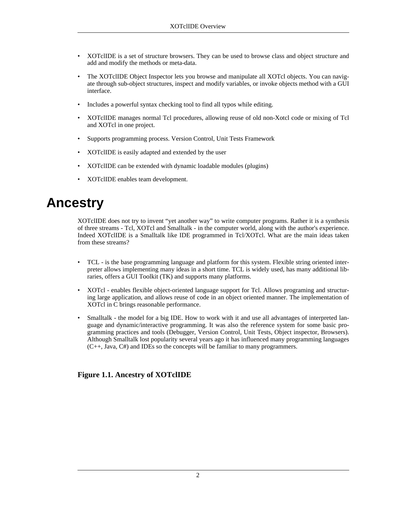- XOTclIDE is a set of structure browsers. They can be used to browse class and object structure and add and modify the methods or meta-data.
- The XOTclIDE Object Inspector lets you browse and manipulate all XOTcl objects. You can navigate through sub-object structures, inspect and modify variables, or invoke objects method with a GUI interface.
- Includes a powerful syntax checking tool to find all typos while editing.
- XOTclIDE manages normal Tcl procedures, allowing reuse of old non-Xotcl code or mixing of Tcl and XOTcl in one project.
- Supports programming process. Version Control, Unit Tests Framework
- XOTclIDE is easily adapted and extended by the user
- XOTclIDE can be extended with dynamic loadable modules (plugins)
- <span id="page-7-0"></span>• XOTclIDE enables team development.

# **Ancestry**

XOTclIDE does not try to invent "yet another way" to write computer programs. Rather it is a synthesis of three streams - Tcl, XOTcl and Smalltalk - in the computer world, along with the author's experience. Indeed XOTclIDE is a Smalltalk like IDE programmed in Tcl/XOTcl. What are the main ideas taken from these streams?

- TCL is the base programming language and platform for this system. Flexible string oriented interpreter allows implementing many ideas in a short time. TCL is widely used, has many additional libraries, offers a GUI Toolkit (TK) and supports many platforms.
- XOTcl enables flexible object-oriented language support for Tcl. Allows programing and structuring large application, and allows reuse of code in an object oriented manner. The implementation of XOTcl in C brings reasonable performance.
- Smalltalk the model for a big IDE. How to work with it and use all advantages of interpreted language and dynamic/interactive programming. It was also the reference system for some basic programming practices and tools (Debugger, Version Control, Unit Tests, Object inspector, Browsers). Although Smalltalk lost popularity several years ago it has influenced many programming languages  $(C_{++}$ , Java,  $C_{+}$ ) and IDEs so the concepts will be familiar to many programmers.

#### <span id="page-7-1"></span>**Figure 1.1. Ancestry of XOTclIDE**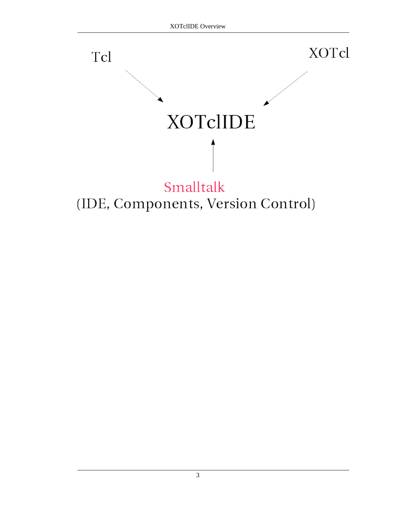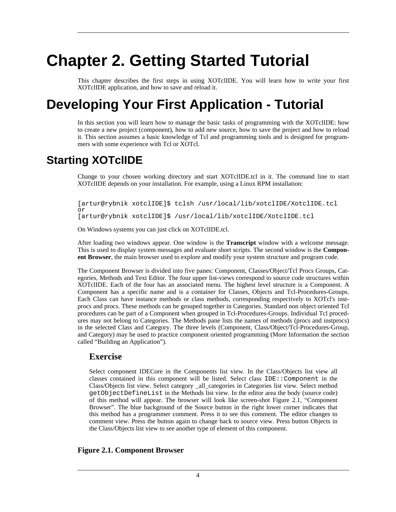# <span id="page-9-0"></span>**Chapter 2. Getting Started Tutorial**

<span id="page-9-1"></span>This chapter describes the first steps in using XOTclIDE. You will learn how to write your first XOTclIDE application, and how to save and reload it.

# **Developing Your First Application - Tutorial**

<span id="page-9-2"></span>In this section you will learn how to manage the basic tasks of programming with the XOTclIDE: how to create a new project (component), how to add new source, how to save the project and how to reload it. This section assumes a basic knowledge of Tcl and programming tools and is designed for programmers with some experience with Tcl or XOTcl.

### **Starting XOTclIDE**

Change to your chosen working directory and start XOTclIDE.tcl in it. The command line to start XOTclIDE depends on your installation. For example, using a Linux RPM installation:

[artur@rybnik xotclIDE]\$ tclsh /usr/local/lib/xotclIDE/XotclIDE.tcl or [artur@rybnik xotclIDE]\$ /usr/local/lib/xotclIDE/XotclIDE.tcl

On Windows systems you can just click on XOTclIDE.tcl.

After loading two windows appear. One window is the **Transcript** window with a welcome message. This is used to display system messages and evaluate short scripts. The second window is the **Component Browser**, the main browser used to explore and modify your system structure and program code.

The Component Browser is divided into five panes: Component, Classes/Object/Tcl Procs Groups, Categories, Methods and Text Editor. The four upper list-views correspond to source code structures within XOTclIDE. Each of the four has an associated menu. The highest level structure is a Component. A Component has a specific name and is a container for Classes, Objects and Tcl-Procedures-Groups. Each Class can have instance methods or class methods, corresponding respectively to XOTcl's instprocs and procs. These methods can be grouped together in Categories. Standard non object oriented Tcl procedures can be part of a Component when grouped in Tcl-Procedures-Groups. Individual Tcl procedures may not belong to Categories. The Methods pane lists the names of methods (procs and instprocs) in the selected Class and Category. The three levels (Component, Class/Object/Tcl-Procedures-Group, and Category) may be used to practice component oriented programming (More Information t[he section](#page-23-2) [called "Building an Application"\)](#page-23-2).

#### **Exercise**

Select component IDECore in the Components list view. In the Class/Objects list view all classes contained in this component will be listed. Select class IDE::Component in the Class/Objects list view. Select category \_all\_categories in Categories list view. Select method getObjectDefineList in the Methods list view. In the editor area the body (source code) of this method will appear. The browser will look like screen-shot Fig[ure 2.1, "Component](#page-9-3) [Browser"](#page-9-3). The blue background of the Source button in the right lower corner indicates that this method has a programmer comment. Press it to see this comment. The editor changes to comment view. Press the button again to change back to source view. Press button Objects in the Class/Objects list view to see another type of element of this component.

#### <span id="page-9-3"></span>**Figure 2.1. Component Browser**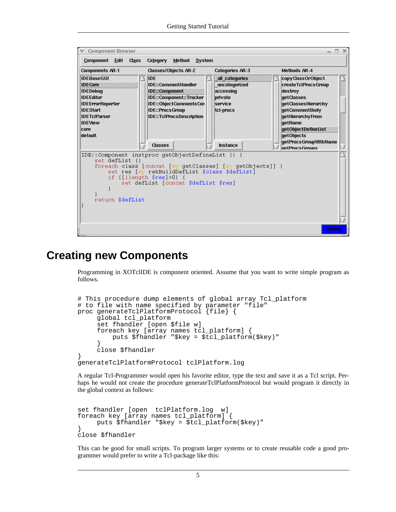

### **Creating new Components**

<span id="page-10-0"></span>Programming in XOTclIDE is component oriented. Assume that you want to write simple program as follows.

```
# This procedure dump elements of global array Tcl_platform
# to file with name specified by parameter "file"
proc generateTclPlatformProtocol {file} {
     global tcl_platform
     set fhandler [open $file w]
     foreach key [array names tcl_platform] {
         puts $fhandler "$key = $tcl_platform($key)"
     }
     close $fhandler
}
generateTclPlatformProtocol tclPlatform.log
```
A regular Tcl-Programmer would open his favorite editor, type the text and save it as a Tcl script. Perhaps he would not create the procedure generateTclPlatformProtocol but would program it directly in the global context as follows:

```
set fhandler [open tclPlatform.log w]
foreach key [array names tcl_platform] {
    puts $fhandler "$key = $tcl_platform($key)"
}
close $fhandler
```
This can be good for small scripts. To program larger systems or to create reusable code a good programmer would prefer to write a Tcl-package like this: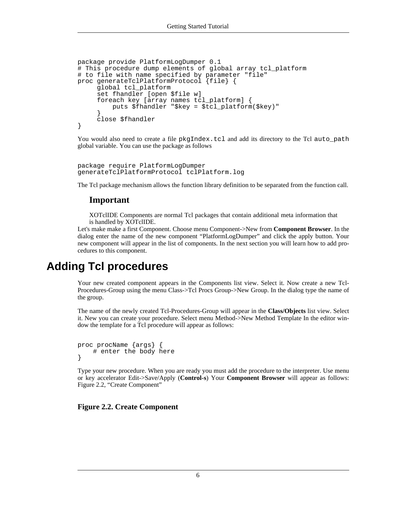```
package provide PlatformLogDumper 0.1
# This procedure dump elements of global array tcl_platform
# to file with name specified by parameter "file"
proc generateTclPlatformProtocol {file} {
     global tcl_platform
     set fhandler [open $file w]
     foreach key [array names tcl_platform] {
         puts $fhandler "$key = $tcl_platform($key)"
     }
     close $fhandler
}
```
You would also need to create a file pkgIndex.tcl and add its directory to the Tcl auto\_path global variable. You can use the package as follows

```
package require PlatformLogDumper
generateTclPlatformProtocol tclPlatform.log
```
The Tcl package mechanism allows the function library definition to be separated from the function call.

#### **Important**

XOTclIDE Components are normal Tcl packages that contain additional meta information that is handled by XOTclIDE.

<span id="page-11-0"></span>Let's make make a first Component. Choose menu Component->New from **Component Browser**. In the dialog enter the name of the new component "PlatformLogDumper" and click the apply button. Your new component will appear in the list of components. In the next section you will learn how to add procedures to this component.

### **Adding Tcl procedures**

Your new created component appears in the Components list view. Select it. Now create a new Tcl-Procedures-Group using the menu Class->Tcl Procs Group->New Group. In the dialog type the name of the group.

The name of the newly created Tcl-Procedures-Group will appear in the **Class/Objects** list view. Select it. New you can create your procedure. Select menu Method->New Method Template In the editor window the template for a Tcl procedure will appear as follows:

```
proc procName {args} {
    # enter the body here
}
```
Type your new procedure. When you are ready you must add the procedure to the interpreter. Use menu or key accelerator Edit->Save/Apply (**Control-s**) Your **Component Browser** will appear as follows: [Figure 2.2, "Create Component"](#page-11-1)

<span id="page-11-1"></span>**Figure 2.2. Create Component**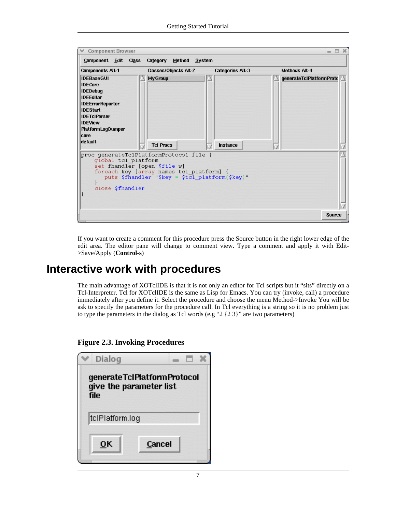| <b>Categories Alt-3</b><br>Classes/Objects Alt-2<br><b>Methods Alt-4</b><br>My Group<br>generateTcIPlatformProto<br><b>Tcl Procs</b><br>Instance<br>proc generateTclPlatformProtocol file {<br>global tcl platform<br>set fhandler [open \$file w]<br>foreach key [array names tcl platform]<br>puts \$fhandler "\$key = \$tcl platform(\$key)"<br>close \$fhandler | <b>Component Browser</b><br>Component Edit Class                                                                                                                                                          | Category Method System | $\Box$<br>$\mathcal{M}$<br>$\equiv$ |
|---------------------------------------------------------------------------------------------------------------------------------------------------------------------------------------------------------------------------------------------------------------------------------------------------------------------------------------------------------------------|-----------------------------------------------------------------------------------------------------------------------------------------------------------------------------------------------------------|------------------------|-------------------------------------|
|                                                                                                                                                                                                                                                                                                                                                                     | <b>Components Alt-1</b>                                                                                                                                                                                   |                        |                                     |
|                                                                                                                                                                                                                                                                                                                                                                     | <b>IDEBaseGUI</b><br><b>IDECore</b><br><b>IDEDebug</b><br><b>IDEEditor</b><br><b>IDEErrorReporter</b><br><b>IDEStart</b><br><b>IDETcIParser</b><br><b>IDEView</b><br>PlatformLogDumper<br>core<br>default |                        |                                     |
|                                                                                                                                                                                                                                                                                                                                                                     |                                                                                                                                                                                                           |                        |                                     |

<span id="page-12-0"></span>If you want to create a comment for this procedure press the Source button in the right lower edge of the edit area. The editor pane will change to comment view. Type a comment and apply it with Edit- >Save/Apply (**Control-s**)

### **Interactive work with procedures**

The main advantage of XOTclIDE is that it is not only an editor for Tcl scripts but it "sits" directly on a Tcl-Interpreter. Tcl for XOTclIDE is the same as Lisp for Emacs. You can try (invoke, call) a procedure immediately after you define it. Select the procedure and choose the menu Method->Invoke You will be ask to specify the parameters for the procedure call. In Tcl everything is a string so it is no problem just to type the parameters in the dialog as Tcl words (e.g "2 {2 3}" are two parameters)

<span id="page-12-1"></span>**Figure 2.3. Invoking Procedures**

| Dialog          |                                                        |  |
|-----------------|--------------------------------------------------------|--|
| <b>file</b>     | generateTcIPlatformProtocol<br>give the parameter list |  |
| tclPlatform.log |                                                        |  |
| OΚ              | Cancel                                                 |  |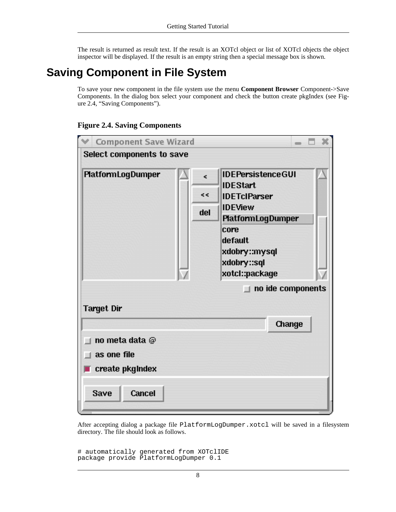<span id="page-13-0"></span>The result is returned as result text. If the result is an XOTcl object or list of XOTcl objects the object inspector will be displayed. If the result is an empty string then a special message box is shown.

# **Saving Component in File System**

To save your new component in the file system use the menu **Component Browser** Component->Save Components. In the dialog box select your component and check the button create pkgIndex (see Fig[ure 2.4, "Saving Components"](#page-13-1)).

#### <span id="page-13-1"></span>**Figure 2.4. Saving Components**



After accepting dialog a package file PlatformLogDumper.xotcl will be saved in a filesystem directory. The file should look as follows.

```
# automatically generated from XOTclIDE
package provide PlatformLogDumper 0.1
```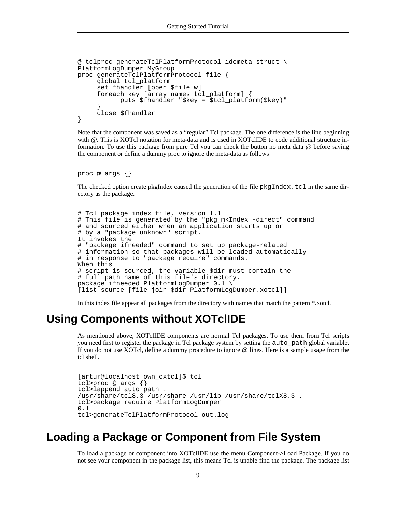```
@ tclproc generateTclPlatformProtocol idemeta struct \
PlatformLogDumper MyGroup
proc generateTclPlatformProtocol file {
     global tcl_platform
     set fhandler [open $file w]
     foreach key [array names tcl_platform] {
           puts $fhandler "$key = $tcl_platform($key)"
     }
     close $fhandler
}
```
Note that the component was saved as a "regular" Tcl package. The one difference is the line beginning with  $@$ . This is XOTcl notation for meta-data and is used in XOTclIDE to code additional structure information. To use this package from pure Tcl you can check the button no meta data @ before saving the component or define a dummy proc to ignore the meta-data as follows

```
proc @ args {}
```
The checked option create pkgIndex caused the generation of the file  $pkgIndex.tcl$  in the same directory as the package.

```
# Tcl package index file, version 1.1
# This file is generated by the "pkg_mkIndex -direct" command
# and sourced either when an application starts up or
# by a "package unknown" script.
It invokes the
  'package ifneeded" command to set up package-related
# information so that packages will be loaded automatically
# in response to "package require" commands.
When this
# script is sourced, the variable $dir must contain the
# full path name of this file's directory.
package ifneeded PlatformLogDumper 0.1 \
[list source [file join $dir PlatformLogDumper.xotcl]]
```
<span id="page-14-0"></span>In this index file appear all packages from the directory with names that match the pattern \*.xotcl.

### **Using Components without XOTclIDE**

As mentioned above, XOTclIDE components are normal Tcl packages. To use them from Tcl scripts you need first to register the package in Tcl package system by setting the auto\_path global variable. If you do not use XOTcl, define a dummy procedure to ignore @ lines. Here is a sample usage from the tcl shell.

```
[artur@localhost own_oxtcl]$ tcl
tcl>proc @ args {}
tcl>lappend auto_path .
/usr/share/tcl8.3 /usr/share /usr/lib /usr/share/tclX8.3 .
tcl>package require PlatformLogDumper
0.1
tcl>generateTclPlatformProtocol out.log
```
### **Loading a Package or Component from File System**

<span id="page-14-1"></span>To load a package or component into XOTclIDE use the menu Component->Load Package. If you do not see your component in the package list, this means Tcl is unable find the package. The package list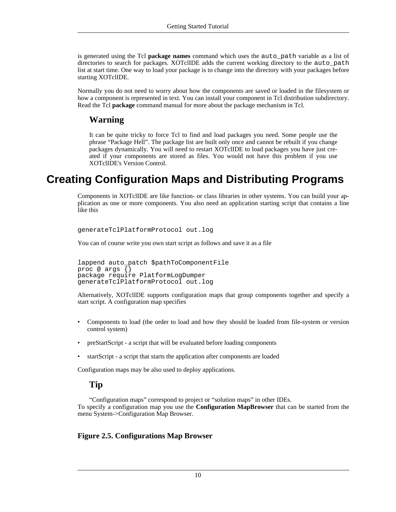is generated using the Tcl **package names** command which uses the auto\_path variable as a list of directories to search for packages. XOTclIDE adds the current working directory to the auto path list at start time. One way to load your package is to change into the directory with your packages before starting XOTclIDE.

Normally you do not need to worry about how the components are saved or loaded in the filesystem or how a component is represented in text. You can install your component in Tcl distribution subdirectory. Read the Tcl **package** command manual for more about the package mechanism in Tcl.

#### **Warning**

It can be quite tricky to force Tcl to find and load packages you need. Some people use the phrase "Package Hell". The package list are built only once and cannot be rebuilt if you change packages dynamically. You will need to restart XOTclIDE to load packages you have just created if your components are stored as files. You would not have this problem if you use XOTclIDE's Version Control.

## **Creating Configuration Maps and Distributing Programs**

<span id="page-15-0"></span>Components in XOTclIDE are like function- or class libraries in other systems. You can build your application as one or more components. You also need an application starting script that contains a line like this

```
generateTclPlatformProtocol out.log
```
You can of course write you own start script as follows and save it as a file

```
lappend auto_patch $pathToComponentFile
proc @ args {}
package require PlatformLogDumper
generateTclPlatformProtocol out.log
```
Alternatively, XOTclIDE supports configuration maps that group components together and specify a start script. A configuration map specifies

- Components to load (the order to load and how they should be loaded from file-system or version control system)
- preStartScript a script that will be evaluated before loading components
- startScript a script that starts the application after components are loaded

Configuration maps may be also used to deploy applications.

#### **Tip**

"Configuration maps" correspond to project or "solution maps" in other IDEs. To specify a configuration map you use the **Configuration MapBrowser** that can be started from the menu System->Configuration Map Browser.

#### <span id="page-15-1"></span>**Figure 2.5. Configurations Map Browser**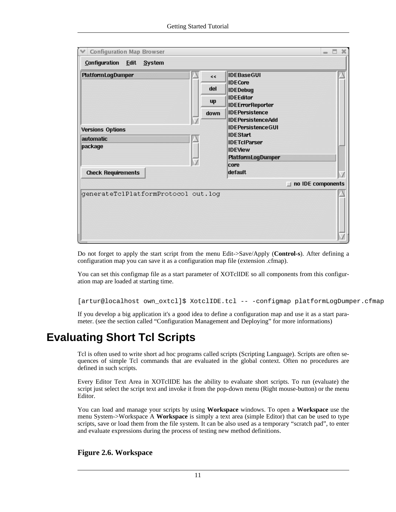| Configuration Map Browser                                                                         | Ħ<br>$\equiv$                                                                                                                                                                                                                                                                                                                                           | × |
|---------------------------------------------------------------------------------------------------|---------------------------------------------------------------------------------------------------------------------------------------------------------------------------------------------------------------------------------------------------------------------------------------------------------------------------------------------------------|---|
| Configuration<br>Edit System                                                                      |                                                                                                                                                                                                                                                                                                                                                         |   |
| PlatformLogDumper<br><b>Versions Options</b><br>automatic<br>package<br><b>Check Requirements</b> | <b>IDEBaseGUI</b><br>kk<br><b>IDECore</b><br>del<br><b>IDEDebug</b><br><b>IDEEditor</b><br>up<br><b>IDEErrorReporter</b><br><b>IDEPersistence</b><br>down<br><b>IDEPersistenceAdd</b><br><b>IDEPersistenceGUI</b><br><b>IDEStart</b><br><b>IDETcIParser</b><br><b>IDEView</b><br><b>PlatformLogDumper</b><br>core<br>default<br>no IDE components<br>H. |   |
| generateTclPlatformProtocol out.log                                                               |                                                                                                                                                                                                                                                                                                                                                         |   |

Do not forget to apply the start script from the menu Edit->Save/Apply (**Control-s**). After defining a configuration map you can save it as a configuration map file (extension .cfmap).

You can set this configmap file as a start parameter of XOTclIDE so all components from this configuration map are loaded at starting time.

```
[artur@localhost own_oxtcl]$ XotclIDE.tcl -- -configmap platformLogDumper.cfmap
```
<span id="page-16-0"></span>If you develop a big application it's a good idea to define a configuration map and use it as a start parameter. (see [the section called "Configuration Management and Deploying"](#page-28-1) for more informations)

## **Evaluating Short Tcl Scripts**

Tcl is often used to write short ad hoc programs called scripts (Scripting Language). Scripts are often sequences of simple Tcl commands that are evaluated in the global context. Often no procedures are defined in such scripts.

Every Editor Text Area in XOTclIDE has the ability to evaluate short scripts. To run (evaluate) the script just select the script text and invoke it from the pop-down menu (Right mouse-button) or the menu Editor.

You can load and manage your scripts by using **Workspace** windows. To open a **Workspace** use the menu System->Workspace A **Workspace** is simply a text area (simple Editor) that can be used to type scripts, save or load them from the file system. It can be also used as a temporary "scratch pad", to enter and evaluate expressions during the process of testing new method definitions.

#### <span id="page-16-1"></span>**Figure 2.6. Workspace**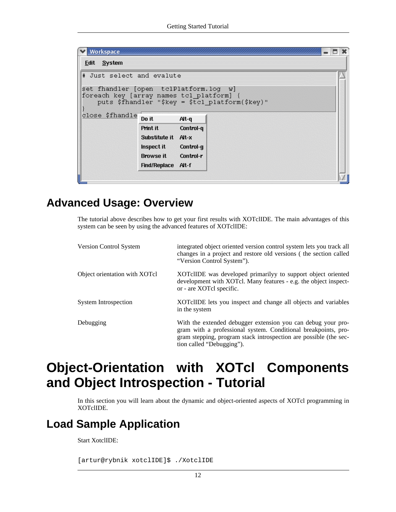| # Just select and evalute                |                                        |           |                                                 |
|------------------------------------------|----------------------------------------|-----------|-------------------------------------------------|
|                                          |                                        |           |                                                 |
| set fhandler [open tclPlatform.log w]    |                                        |           |                                                 |
| foreach key [array names tcl platform] { |                                        |           |                                                 |
|                                          |                                        |           | puts \$fhandler "\$key = \$tcl platform(\$key)" |
| close \$fhandle                          |                                        |           |                                                 |
|                                          | Do it                                  | Alt-q     |                                                 |
|                                          | Print it                               | Control-q |                                                 |
|                                          | Substitute it Alt-x                    |           |                                                 |
|                                          | Inspect it                             | Control-q |                                                 |
|                                          |                                        | Control-r |                                                 |
|                                          |                                        |           |                                                 |
|                                          | <b>Browse</b> it<br>Find/Replace Alt-f |           |                                                 |

### **Advanced Usage: Overview**

<span id="page-17-0"></span>The tutorial above describes how to get your first results with XOTclIDE. The main advantages of this system can be seen by using the advanced features of XOTclIDE:

| Version Control System        | integrated object oriented version control system lets you track all<br>changes in a project and restore old versions (the section called<br>"Version Control System").                                                          |
|-------------------------------|----------------------------------------------------------------------------------------------------------------------------------------------------------------------------------------------------------------------------------|
| Object orientation with XOTcl | XOT clIDE was developed primarily to support object oriented<br>development with XOTcl. Many features - e.g. the object inspect-<br>or - are XOTcl specific.                                                                     |
| <b>System Introspection</b>   | XOT clIDE lets you inspect and change all objects and variables<br>in the system                                                                                                                                                 |
| Debugging                     | With the extended debugger extension you can debug your pro-<br>gram with a professional system. Conditional breakpoints, pro-<br>gram stepping, program stack introspection are possible (the sec-<br>tion called "Debugging"). |

# <span id="page-17-1"></span>**Object-Orientation with XOTcl Components and Object Introspection - Tutorial**

<span id="page-17-2"></span>In this section you will learn about the dynamic and object-oriented aspects of XOTcl programming in XOTclIDE.

## **Load Sample Application**

Start XotclIDE:

[artur@rybnik xotclIDE]\$ ./XotclIDE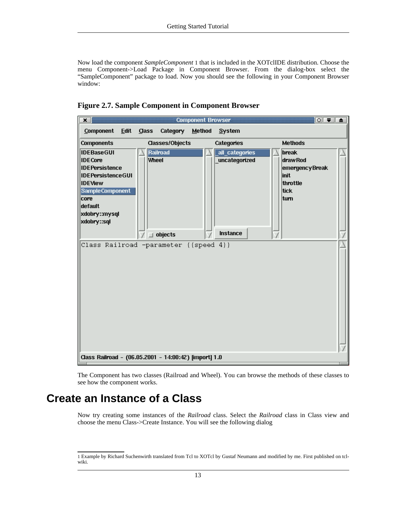Now load the component *SampleComponent* 1 that is included in the XOTclIDE distribution. Choose the menu Component->Load Package in Component Browser. From the dialog-box select the "SampleComponent" package to load. Now you should see the following in your Component Browser window:

<span id="page-18-1"></span>**Figure 2.7. Sample Component in Component Browser**



<span id="page-18-0"></span>The Component has two classes (Railroad and Wheel). You can browse the methods of these classes to see how the component works.

### **Create an Instance of a Class**

Now try creating some instances of the *Railroad* class. Select the *Railroad* class in Class view and choose the menu Class->Create Instance. You will see the following dialog

<sup>1</sup> Example by Richard Suchenwirth translated from Tcl to XOTcl by Gustaf Neumann and modified by me. First published on tclwiki.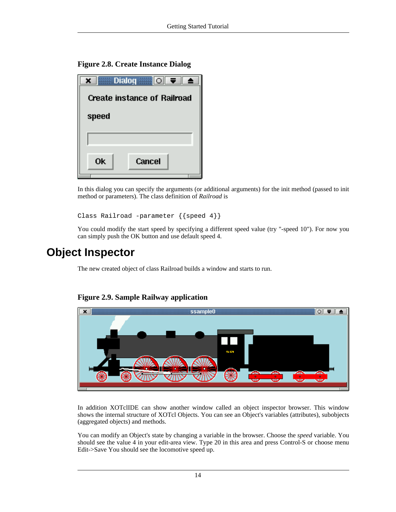<span id="page-19-1"></span>**Figure 2.8. Create Instance Dialog**

| Dialog or <b>O</b>                 |
|------------------------------------|
| <b>Create instance of Railroad</b> |
| speed                              |
|                                    |
| <b>Ok</b><br>Cancel                |
|                                    |

In this dialog you can specify the arguments (or additional arguments) for the init method (passed to init method or parameters). The class definition of *Railroad* is

```
Class Railroad -parameter {{speed 4}}
```
<span id="page-19-0"></span>You could modify the start speed by specifying a different speed value (try "-speed 10"). For now you can simply push the OK button and use default speed 4.

### **Object Inspector**

The new created object of class Railroad builds a window and starts to run.



#### <span id="page-19-2"></span>**Figure 2.9. Sample Railway application**

In addition XOTclIDE can show another window called an object inspector browser. This window shows the internal structure of XOTcl Objects. You can see an Object's variables (attributes), subobjects (aggregated objects) and methods.

You can modify an Object's state by changing a variable in the browser. Choose the *speed* variable. You should see the value 4 in your edit-area view. Type 20 in this area and press Control-S or choose menu Edit->Save You should see the locomotive speed up.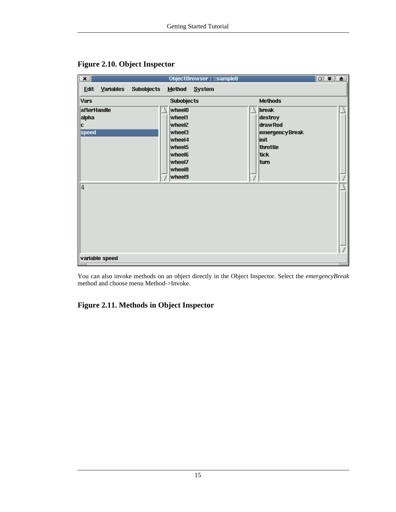

#### <span id="page-20-0"></span>**Figure 2.10. Object Inspector**

You can also invoke methods on an object directly in the Object Inspector. Select the *emergencyBreak* method and choose menu Method->Invoke.

#### <span id="page-20-1"></span>**Figure 2.11. Methods in Object Inspector**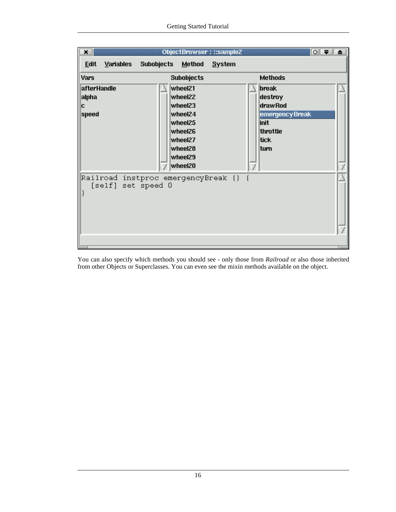

You can also specify which methods you should see - only those from *Railroad* or also those inherited from other Objects or Superclasses. You can even see the mixin methods available on the object.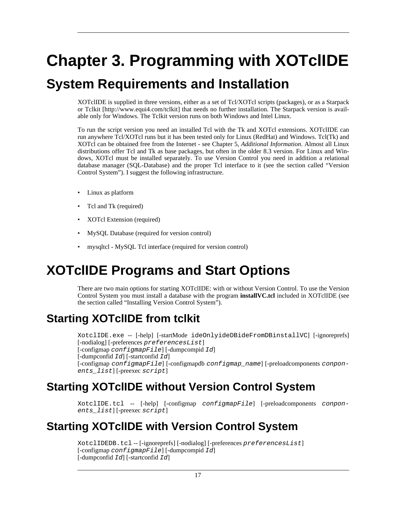# <span id="page-22-0"></span>**Chapter 3. Programming with XOTclIDE**

# <span id="page-22-1"></span>**System Requirements and Installation**

XOTclIDE is supplied in three versions, either as a set of Tcl/XOTcl scripts (packages), or as a [Starpack](http://www.equi4.com/tclkit) [or Tclkit](http://www.equi4.com/tclkit) [http://www.equi4.com/tclkit] that needs no further installation. The Starpack version is available only for Windows. The Tclkit version runs on both Windows and Intel Linux.

To run the script version you need an installed Tcl with the Tk and XOTcl extensions. XOTclIDE can run anywhere Tcl/XOTcl runs but it has been tested only for Linux (RedHat) and Windows. Tcl(Tk) and XOTcl can be obtained free from the Internet - see Chapter 5, *[Additional Information](#page-58-0)*. Almost all Linux distributions offer Tcl and Tk as base packages, but often in the older 8.3 version. For Linux and Windows, XOTcl must be installed separately. To use Version Control you need in addition a relational database manager (SQL-Database) and the proper Tcl interface to it (see the [section called "Version](#page-34-1) [Control System"\)](#page-34-1). I suggest the following infrastructure.

- Linux as platform
- Tcl and Tk (required)
- XOTcl Extension (required)
- MySQL Database (required for version control)
- <span id="page-22-2"></span>mysqltcl - MySQL Tcl interface (required for version control)

# **XOTclIDE Programs and Start Options**

<span id="page-22-3"></span>There are two main options for starting XOTclIDE: with or without Version Control. To use the Version Control System you must install a database with the program **installVC.tcl** included in XOTclIDE (see [the section called "Installing Version Control System"\)](#page-38-1).

# **Starting XOTclIDE from tclkit**

XotclIDE.exe -- [-help] [-startMode ideOnlyideDBideFromDBinstallVC] [-ignoreprefs] [-nodialog] [-preferences preferencesList] [-configmap configmapFile] [-dumpcompid Id] [-dumpconfid  $Id$ ] [-startconfid  $Id$ ] [-configmap configmapFile] [-configmapdb configmap\_name] [-preloadcomponents conponents\_list] [-preexec script]

## **Starting XOTclIDE without Version Control System**

<span id="page-22-5"></span><span id="page-22-4"></span>XotclIDE.tcl -- [-help] [-configmap configmapFile] [-preloadcomponents conponents\_list] [-preexec script]

# **Starting XOTclIDE with Version Control System**

XotclIDEDB.tcl -- [-ignoreprefs] [-nodialog] [-preferences preferencesList] [-configmap configmapFile] [-dumpcompid Id] [-dumpconfid  $Id$ ] [-startconfid  $Id$ ]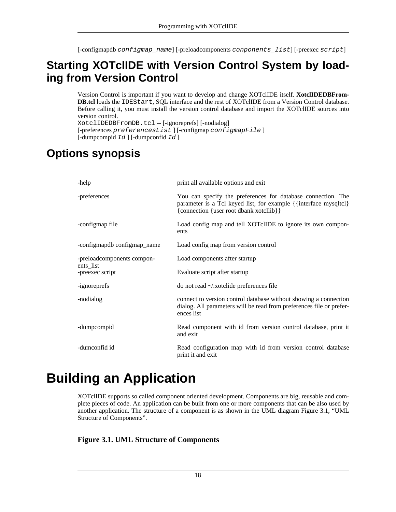<span id="page-23-0"></span>[-configmapdb configmap\_name] [-preloadcomponents conponents\_list] [-preexec script]

## **Starting XOTclIDE with Version Control System by loading from Version Control**

Version Control is important if you want to develop and change XOTclIDE itself. **XotclIDEDBFrom-DB.tcl** loads the IDEStart, SQL interface and the rest of XOTclIDE from a Version Control database. Before calling it, you must install the version control database and import the XOTclIDE sources into version control.

<span id="page-23-1"></span>XotclIDEDBFromDB.tcl -- [-ignoreprefs] [-nodialog] [-preferences preferencesList ] [-configmap configmapFile ] [-dumpcompid Id ] [-dumpconfid Id ]

## **Options synopsis**

| -help                        | print all available options and exit                                                                                                                                        |
|------------------------------|-----------------------------------------------------------------------------------------------------------------------------------------------------------------------------|
| -preferences                 | You can specify the preferences for database connection. The<br>parameter is a Tcl keyed list, for example {{interface mysqltcl}<br>{connection {user root dbank xotcllib}} |
| -configmap file              | Load config map and tell XOTclIDE to ignore its own compon-<br>ents                                                                                                         |
| -configmapdb configmap_name  | Load config map from version control                                                                                                                                        |
| -preloadcomponents compon-   | Load components after startup                                                                                                                                               |
| ents list<br>-preexec script | Evaluate script after startup                                                                                                                                               |
| -ignoreprefs                 | do not read ~/.xotclide preferences file                                                                                                                                    |
| -nodialog                    | connect to version control database without showing a connection<br>dialog. All parameters will be read from preferences file or prefer-<br>ences list                      |
| -dumpcompid                  | Read component with id from version control database, print it<br>and exit                                                                                                  |
| -dumconfid id                | Read configuration map with id from version control database<br>print it and exit                                                                                           |

# <span id="page-23-2"></span>**Building an Application**

XOTclIDE supports so called component oriented development. Components are big, reusable and complete pieces of code. An application can be built from one or more components that can be also used by another application. The structure of a component is as shown in the UML diagram Fi[gure 3.1, "UML](#page-23-3) [Structure of Components".](#page-23-3)

#### <span id="page-23-3"></span>**Figure 3.1. UML Structure of Components**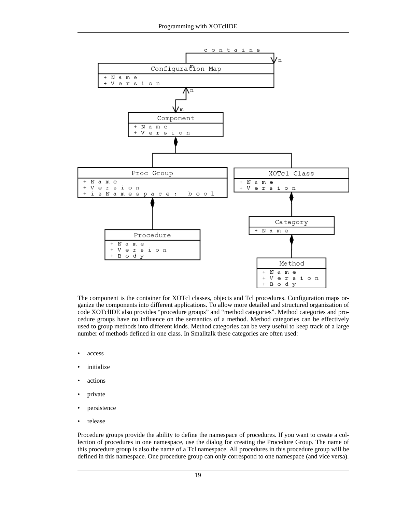

The component is the container for XOTcl classes, objects and Tcl procedures. Configuration maps organize the components into different applications. To allow more detailed and structured organization of code XOTclIDE also provides "procedure groups" and "method categories". Method categories and procedure groups have no influence on the semantics of a method. Method categories can be effectively used to group methods into different kinds. Method categories can be very useful to keep track of a large number of methods defined in one class. In Smalltalk these categories are often used:

- access
- initialize
- actions
- private
- persistence
- release

Procedure groups provide the ability to define the namespace of procedures. If you want to create a collection of procedures in one namespace, use the dialog for creating the Procedure Group. The name of this procedure group is also the name of a Tcl namespace. All procedures in this procedure group will be defined in this namespace. One procedure group can only correspond to one namespace (and vice versa).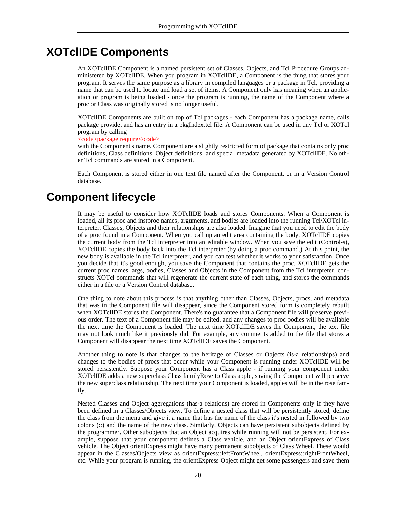## **XOTclIDE Components**

<span id="page-25-0"></span>An XOTclIDE Component is a named persistent set of Classes, Objects, and Tcl Procedure Groups administered by XOTclIDE. When you program in XOTclIDE, a Component is the thing that stores your program. It serves the same purpose as a library in compiled languages or a package in Tcl, providing a name that can be used to locate and load a set of items. A Component only has meaning when an application or program is being loaded - once the program is running, the name of the Component where a proc or Class was originally stored is no longer useful.

XOTclIDE Components are built on top of Tcl packages - each Component has a package name, calls package provide, and has an entry in a pkgIndex.tcl file. A Component can be used in any Tcl or XOTcl program by calling

#### $<$ code>package require</code>

with the Component's name. Component are a slightly restricted form of package that contains only proc definitions, Class definitions, Object definitions, and special metadata generated by XOTclIDE. No other Tcl commands are stored in a Component.

<span id="page-25-1"></span>Each Component is stored either in one text file named after the Component, or in a Version Control database.

### **Component lifecycle**

It may be useful to consider how XOTclIDE loads and stores Components. When a Component is loaded, all its proc and instproc names, arguments, and bodies are loaded into the running Tcl/XOTcl interpreter. Classes, Objects and their relationships are also loaded. Imagine that you need to edit the body of a proc found in a Component. When you call up an edit area containing the body, XOTclIDE copies the current body from the Tcl interpreter into an editable window. When you save the edit (Control-s), XOTclIDE copies the body back into the Tcl interpreter (by doing a proc command.) At this point, the new body is available in the Tcl interpreter, and you can test whether it works to your satisfaction. Once you decide that it's good enough, you save the Component that contains the proc. XOTclIDE gets the current proc names, args, bodies, Classes and Objects in the Component from the Tcl interpreter, constructs XOTcl commands that will regenerate the current state of each thing, and stores the commands either in a file or a Version Control database.

One thing to note about this process is that anything other than Classes, Objects, procs, and metadata that was in the Component file will disappear, since the Component stored form is completely rebuilt when XOTclIDE stores the Component. There's no guarantee that a Component file will preserve previous order. The text of a Component file may be edited. and any changes to proc bodies will be available the next time the Component is loaded. The next time XOTclIDE saves the Component, the text file may not look much like it previously did. For example, any comments added to the file that stores a Component will disappear the next time XOTclIDE saves the Component.

Another thing to note is that changes to the heritage of Classes or Objects (is-a relationships) and changes to the bodies of procs that occur while your Component is running under XOTclIDE will be stored persistently. Suppose your Component has a Class apple - if running your component under XOTclIDE adds a new superclass Class familyRose to Class apple, saving the Component will preserve the new superclass relationship. The next time your Component is loaded, apples will be in the rose family.

Nested Classes and Object aggregations (has-a relations) are stored in Components only if they have been defined in a Classes/Objects view. To define a nested class that will be persistently stored, define the class from the menu and give it a name that has the name of the class it's nested in followed by two colons (::) and the name of the new class. Similarly, Objects can have persistent subobjects defined by the programmer. Other subobjects that an Object acquires while running will not be persistent. For example, suppose that your component defines a Class vehicle, and an Object orientExpress of Class vehicle. The Object orientExpress might have many permanent subobjects of Class Wheel. These would appear in the Classes/Objects view as orientExpress::leftFrontWheel, orientExpress::rightFrontWheel, etc. While your program is running, the orientExpress Object might get some passengers and save them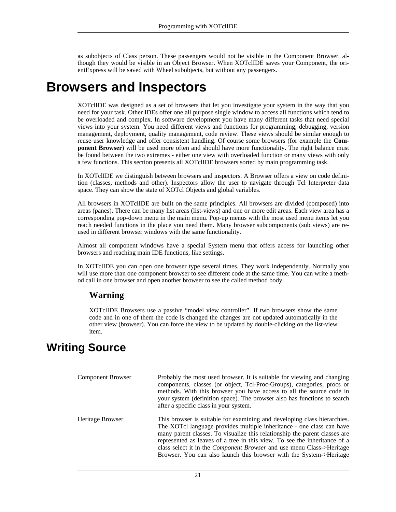<span id="page-26-0"></span>as subobjects of Class person. These passengers would not be visible in the Component Browser, although they would be visible in an Object Browser. When XOTclIDE saves your Component, the orientExpress will be saved with Wheel subobjects, but without any passengers.

# **Browsers and Inspectors**

XOTclIDE was designed as a set of browsers that let you investigate your system in the way that you need for your task. Other IDEs offer one all purpose single window to access all functions which tend to be overloaded and complex. In software development you have many different tasks that need special views into your system. You need different views and functions for programming, debugging, version management, deployment, quality management, code review. These views should be similar enough to reuse user knowledge and offer consistent handling. Of course some browsers (for example the **Component Browser**) will be used more often and should have more functionality. The right balance must be found between the two extremes - either one view with overloaded function or many views with only a few functions. This section presents all XOTclIDE browsers sorted by main programming task.

In XOTclIDE we distinguish between browsers and inspectors. A Browser offers a view on code definition (classes, methods and other). Inspectors allow the user to navigate through Tcl Interpreter data space. They can show the state of XOTcl Objects and global variables.

All browsers in XOTclIDE are built on the same principles. All browsers are divided (composed) into areas (panes). There can be many list areas (list-views) and one or more edit areas. Each view area has a corresponding pop-down menu in the main menu. Pop-up menus with the most used menu items let you reach needed functions in the place you need them. Many browser subcomponents (sub views) are reused in different browser windows with the same functionality.

Almost all component windows have a special System menu that offers access for launching other browsers and reaching main IDE functions, like settings.

In XOTclIDE you can open one browser type several times. They work independently. Normally you will use more than one component browser to see different code at the same time. You can write a method call in one browser and open another browser to see the called method body.

#### **Warning**

<span id="page-26-1"></span>XOTclIDE Browsers use a passive "model view controller". If two browsers show the same code and in one of them the code is changed the changes are not updated automatically in the other view (browser). You can force the view to be updated by double-clicking on the list-view item.

## **Writing Source**

| <b>Component Browser</b> | Probably the most used browser. It is suitable for viewing and changing<br>components, classes (or object, Tcl-Proc-Groups), categories, procs or<br>methods. With this browser you have access to all the source code in<br>your system (definition space). The browser also has functions to search<br>after a specific class in your system.                                                                                                                     |
|--------------------------|---------------------------------------------------------------------------------------------------------------------------------------------------------------------------------------------------------------------------------------------------------------------------------------------------------------------------------------------------------------------------------------------------------------------------------------------------------------------|
| Heritage Browser         | This browser is suitable for examining and developing class hierarchies.<br>The XOTcl language provides multiple inheritance - one class can have<br>many parent classes. To visualize this relationship the parent classes are<br>represented as leaves of a tree in this view. To see the inheritance of a<br>class select it in the <i>Component Browser</i> and use menu Class->Heritage<br>Browser. You can also launch this browser with the System->Heritage |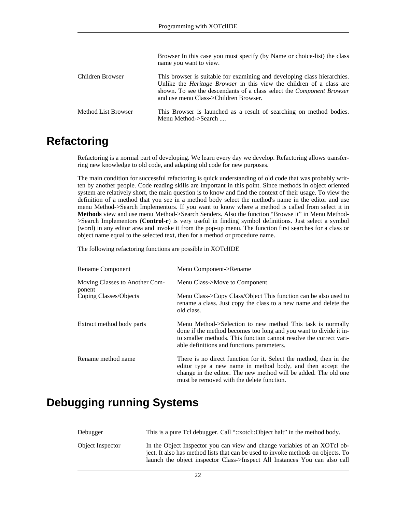|                     | Browser In this case you must specify (by Name or choice-list) the class<br>name you want to view.                                                                                                                                                                               |
|---------------------|----------------------------------------------------------------------------------------------------------------------------------------------------------------------------------------------------------------------------------------------------------------------------------|
| Children Browser    | This browser is suitable for examining and developing class hierarchies.<br>Unlike the <i>Heritage Browser</i> in this view the children of a class are<br>shown. To see the descendants of a class select the <i>Component Browser</i><br>and use menu Class->Children Browser. |
| Method List Browser | This Browser is launched as a result of searching on method bodies.<br>Menu Method->Search                                                                                                                                                                                       |

### **Refactoring**

<span id="page-27-0"></span>Refactoring is a normal part of developing. We learn every day we develop. Refactoring allows transferring new knowledge to old code, and adapting old code for new purposes.

The main condition for successful refactoring is quick understanding of old code that was probably written by another people. Code reading skills are important in this point. Since methods in object oriented system are relatively short, the main question is to know and find the context of their usage. To view the definition of a method that you see in a method body select the method's name in the editor and use menu Method->Search Implementors. If you want to know where a method is called from select it in **Methods** view and use menu Method->Search Senders. Also the function "Browse it" in Menu Method- >Search Implementors (**Control-r**) is very useful in finding symbol definitions. Just select a symbol (word) in any editor area and invoke it from the pop-up menu. The function first searches for a class or object name equal to the selected text, then for a method or procedure name.

The following refactoring functions are possible in XOTclIDE

| Rename Component                         | Menu Component->Rename                                                                                                                                                                                                                              |
|------------------------------------------|-----------------------------------------------------------------------------------------------------------------------------------------------------------------------------------------------------------------------------------------------------|
| Moving Classes to Another Com-<br>ponent | Menu Class->Move to Component                                                                                                                                                                                                                       |
| Coping Classes/Objects                   | Menu Class->Copy Class/Object This function can be also used to<br>rename a class. Just copy the class to a new name and delete the<br>old class.                                                                                                   |
| Extract method body parts                | Menu Method->Selection to new method This task is normally<br>done if the method becomes too long and you want to divide it in-<br>to smaller methods. This function cannot resolve the correct vari-<br>able definitions and functions parameters. |
| Rename method name                       | There is no direct function for it. Select the method, then in the<br>editor type a new name in method body, and then accept the<br>change in the editor. The new method will be added. The old one<br>must be removed with the delete function.    |

### <span id="page-27-1"></span>**Debugging running Systems**

| Debugger         | This is a pure Tcl debugger. Call "::xotcl::Object halt" in the method body.                                                                                                                                                                |
|------------------|---------------------------------------------------------------------------------------------------------------------------------------------------------------------------------------------------------------------------------------------|
| Object Inspector | In the Object Inspector you can view and change variables of an XOTcl ob-<br>ject. It also has method lists that can be used to invoke methods on objects. To<br>launch the object inspector Class->Inspect All Instances You can also call |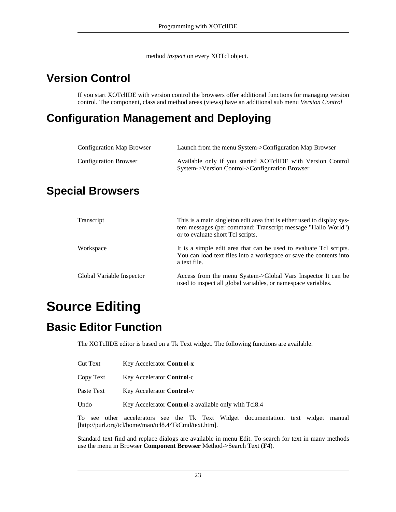method *inspect* on every XOTcl object.

# **Version Control**

<span id="page-28-1"></span><span id="page-28-0"></span>If you start XOTclIDE with version control the browsers offer additional functions for managing version control. The component, class and method areas (views) have an additional sub menu *Version Control*

# **Configuration Management and Deploying**

| Configuration Map Browser    | Launch from the menu System->Configuration Map Browser                                                        |
|------------------------------|---------------------------------------------------------------------------------------------------------------|
| <b>Configuration Browser</b> | Available only if you started XOTclIDE with Version Control<br>System->Version Control->Configuration Browser |

## <span id="page-28-2"></span>**Special Browsers**

| Transcript                | This is a main singleton edit area that is either used to display sys-<br>tem messages (per command: Transcript message "Hallo World")<br>or to evaluate short Tcl scripts. |
|---------------------------|-----------------------------------------------------------------------------------------------------------------------------------------------------------------------------|
| Workspace                 | It is a simple edit area that can be used to evaluate Tcl scripts.<br>You can load text files into a workspace or save the contents into<br>a text file.                    |
| Global Variable Inspector | Access from the menu System->Global Vars Inspector It can be<br>used to inspect all global variables, or namespace variables.                                               |

# <span id="page-28-3"></span>**Source Editing**

## **Basic Editor Function**

<span id="page-28-4"></span>The XOTclIDE editor is based on a Tk Text widget. The following functions are available.

- Cut Text Key Accelerator **Control**-**x**
- Copy Text Key Accelerator **Control-c**
- Paste Text Key Accelerator **Control-v**
- Undo Key Accelerator **Control**-z available only with Tcl8.4

To see other accelerators see the Tk Text Widget documentation. text widget [manual](http://purl.org/tcl/home/man/tcl8.4/TkCmd/text.htm) [http://purl.org/tcl/home/man/tcl8.4/TkCmd/text.htm].

Standard text find and replace dialogs are available in menu Edit. To search for text in many methods use the menu in Browser **Component Browser** Method->Search Text (**F4**).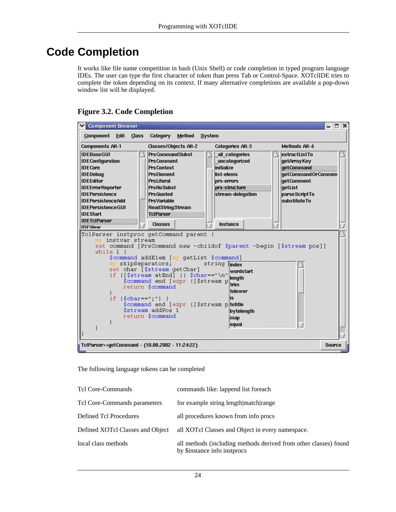# **Code Completion**

<span id="page-29-0"></span>It works like file name competition in bash (Unix Shell) or code completion in typed program language IDEs. The user can type the first character of token than press Tab or Control-Space. XOTclIDE tries to complete the token depending on its context. If many alternative completions are available a pop-down window list will be displayed.

#### <span id="page-29-1"></span>**Figure 3.2. Code Completion**



The following language tokens can be completed

| Tel Core-Commands                | commands like: lappend list for each                                                             |
|----------------------------------|--------------------------------------------------------------------------------------------------|
| Tel Core-Commands parameters     | for example string length match range                                                            |
| Defined Tcl Procedures           | all procedures known from info procs                                                             |
| Defined XOTcl Classes and Object | all XOTcl Classes and Object in every namespace.                                                 |
| local class methods              | all methods (including methods derived from other classes) found<br>by \$instance info instprocs |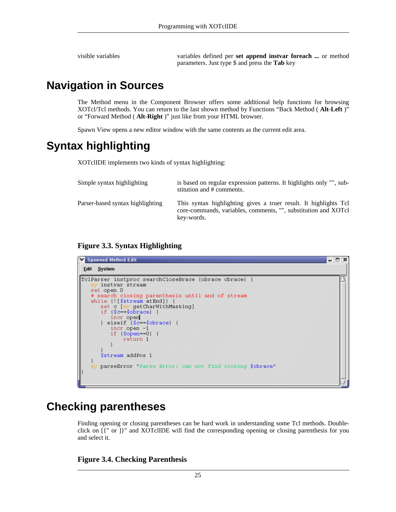<span id="page-30-0"></span>

visible variables variables defined per **set append instvar foreach ...** or method parameters. Just type \$ and press the **Tab** key

## **Navigation in Sources**

The Method menu in the Component Browser offers some additional help functions for browsing XOTcl/Tcl methods. You can return to the last shown method by Functions "Back Method ( **Alt**-**Left** )" or "Forward Method ( **Alt**-**Right** )" just like from your HTML browser.

<span id="page-30-1"></span>Spawn View opens a new editor window with the same contents as the current edit area.

## **Syntax highlighting**

XOTclIDE implements two kinds of syntax highlighting:

| Simple syntax highlighting       | is based on regular expression patterns. It highlights only "", sub-<br>stitution and # comments.                                                |
|----------------------------------|--------------------------------------------------------------------------------------------------------------------------------------------------|
| Parser-based syntax highlighting | This syntax highlighting gives a truer result. It highlights Tcl<br>core-commands, variables, comments, "", substitution and XOTcl<br>key-words. |

#### <span id="page-30-3"></span>**Figure 3.3. Syntax Highlighting**



### **Checking parentheses**

<span id="page-30-2"></span>Finding opening or closing parentheses can be hard work in understanding some Tcl methods. Doubleclick on [{" or ]}" and XOTclIDE will find the corresponding opening or closing parenthesis for you and select it.

#### <span id="page-30-4"></span>**Figure 3.4. Checking Parenthesis**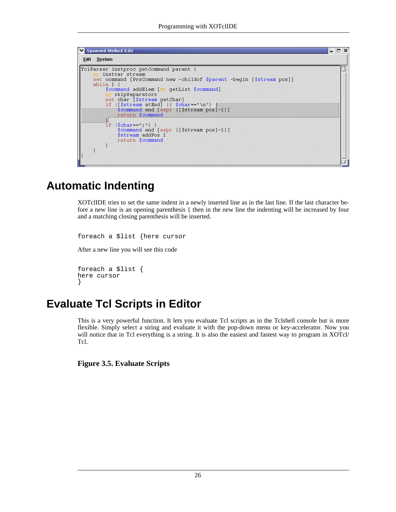

### **Automatic Indenting**

<span id="page-31-0"></span>XOTclIDE tries to set the same indent in a newly inserted line as in the last line. If the last character before a new line is an opening parenthesis { then in the new line the indenting will be increased by four and a matching closing parenthesis will be inserted.

foreach a \$list {here cursor After a new line you will see this code

```
foreach a $list {
here cursor
}
```
# **Evaluate Tcl Scripts in Editor**

This is a very powerful function. It lets you evaluate Tcl scripts as in the Tclshell console but is more flexible. Simply select a string and evaluate it with the pop-down menu or key-accelerator. Now you will notice that in Tcl everything is a string. It is also the easiest and fastest way to program in XOTcl/ Tcl.

<span id="page-31-2"></span>**Figure 3.5. Evaluate Scripts**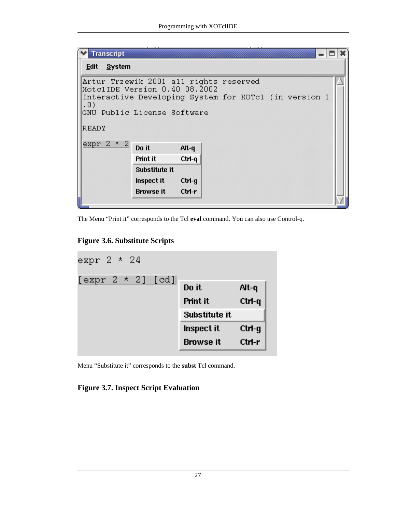| <b>Transcript</b>                                                                                                                       |                  |         |  |  |  |
|-----------------------------------------------------------------------------------------------------------------------------------------|------------------|---------|--|--|--|
| Edit System                                                                                                                             |                  |         |  |  |  |
| Artur Trzewik 2001 all rights reserved<br>XotclIDE Version 0.40 08.2002<br>Interactive Developing System for XOTcl (in version 1<br>.0) |                  |         |  |  |  |
| GNU Public License Software<br>READY                                                                                                    |                  |         |  |  |  |
| expr $2 * 2$                                                                                                                            | Do it            | $Alt-q$ |  |  |  |
|                                                                                                                                         | Print it         | Ctrl-q  |  |  |  |
|                                                                                                                                         | Substitute it    |         |  |  |  |
|                                                                                                                                         | Inspect it       | Ctrl-g  |  |  |  |
|                                                                                                                                         | <b>Browse it</b> | Ctrl-r  |  |  |  |
|                                                                                                                                         |                  |         |  |  |  |

The Menu "Print it" corresponds to the Tcl **eval** command. You can also use Control-q.

<span id="page-32-0"></span>**Figure 3.6. Substitute Scripts**



Menu "Substitute it" corresponds to the **subst** Tcl command.

#### <span id="page-32-1"></span>**Figure 3.7. Inspect Script Evaluation**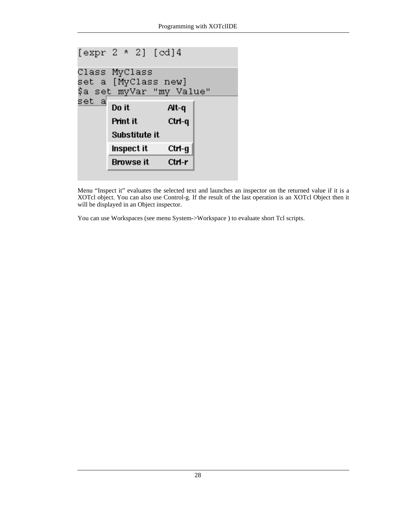

Menu "Inspect it" evaluates the selected text and launches an inspector on the returned value if it is a XOTcl object. You can also use Control-g. If the result of the last operation is an XOTcl Object then it will be displayed in an Object inspector.

You can use Workspaces (see menu System->Workspace ) to evaluate short Tcl scripts.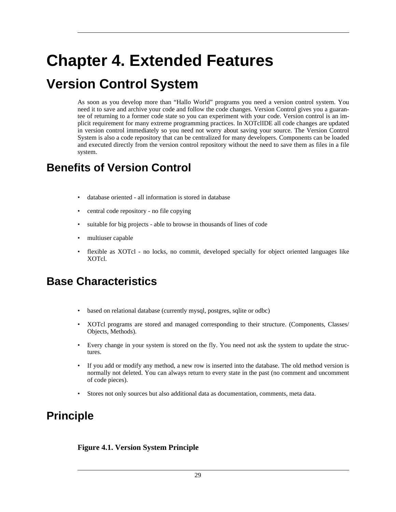# <span id="page-34-0"></span>**Chapter 4. Extended Features**

# <span id="page-34-1"></span>**Version Control System**

As soon as you develop more than "Hallo World" programs you need a version control system. You need it to save and archive your code and follow the code changes. Version Control gives you a guarantee of returning to a former code state so you can experiment with your code. Version control is an implicit requirement for many extreme programming practices. In XOTclIDE all code changes are updated in version control immediately so you need not worry about saving your source. The Version Control System is also a code repository that can be centralized for many developers. Components can be loaded and executed directly from the version control repository without the need to save them as files in a file system.

## <span id="page-34-2"></span>**Benefits of Version Control**

- database oriented all information is stored in database
- central code repository no file copying
- suitable for big projects able to browse in thousands of lines of code
- multiuser capable
- <span id="page-34-3"></span>• flexible as XOTcl - no locks, no commit, developed specially for object oriented languages like XOTcl.

## **Base Characteristics**

- based on relational database (currently mysql, postgres, sqlite or odbc)
- XOTcl programs are stored and managed corresponding to their structure. (Components, Classes/ Objects, Methods).
- Every change in your system is stored on the fly. You need not ask the system to update the structures.
- If you add or modify any method, a new row is inserted into the database. The old method version is normally not deleted. You can always return to every state in the past (no comment and uncomment of code pieces).
- <span id="page-34-4"></span>• Stores not only sources but also additional data as documentation, comments, meta data.

## **Principle**

#### <span id="page-34-5"></span>**Figure 4.1. Version System Principle**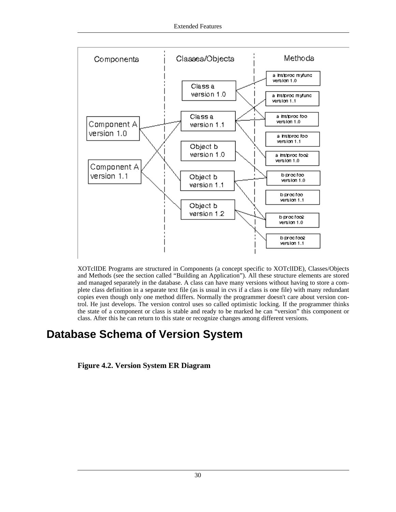

XOTclIDE Programs are structured in Components (a concept specific to XOTclIDE), Classes/Objects and Methods (see [the section called "Building an Application"](#page-23-2)). All these structure elements are stored and managed separately in the database. A class can have many versions without having to store a complete class definition in a separate text file (as is usual in cvs if a class is one file) with many redundant copies even though only one method differs. Normally the programmer doesn't care about version control. He just develops. The version control uses so called optimistic locking. If the programmer thinks the state of a component or class is stable and ready to be marked he can "version" this component or class. After this he can return to this state or recognize changes among different versions.

# <span id="page-35-0"></span>**Database Schema of Version System**

<span id="page-35-1"></span>**Figure 4.2. Version System ER Diagram**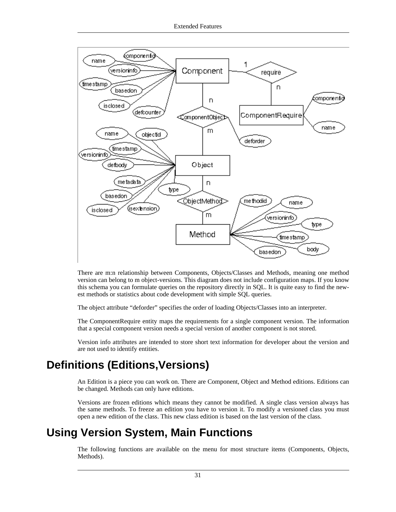

There are m:n relationship between Components, Objects/Classes and Methods, meaning one method version can belong to m object-versions. This diagram does not include configuration maps. If you know this schema you can formulate queries on the repository directly in SQL. It is quite easy to find the newest methods or statistics about code development with simple SQL queries.

The object attribute "deforder" specifies the order of loading Objects/Classes into an interpreter.

The ComponentRequire entity maps the requirements for a single component version. The information that a special component version needs a special version of another component is not stored.

<span id="page-36-0"></span>Version info attributes are intended to store short text information for developer about the version and are not used to identify entities.

## **Definitions (Editions,Versions)**

An Edition is a piece you can work on. There are Component, Object and Method editions. Editions can be changed. Methods can only have editions.

<span id="page-36-1"></span>Versions are frozen editions which means they cannot be modified. A single class version always has the same methods. To freeze an edition you have to version it. To modify a versioned class you must open a new edition of the class. This new class edition is based on the last version of the class.

## **Using Version System, Main Functions**

The following functions are available on the menu for most structure items (Components, Objects, Methods).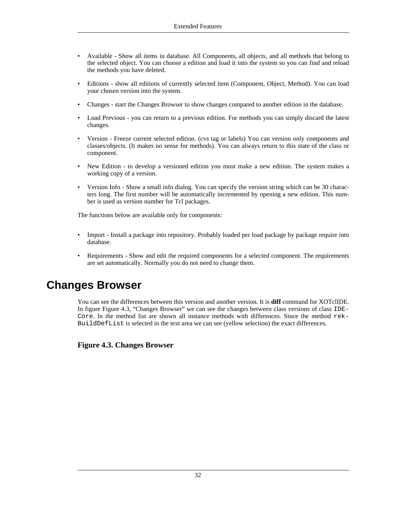- Available Show all items in database. All Components, all objects, and all methods that belong to the selected object. You can choose a edition and load it into the system so you can find and reload the methods you have deleted.
- Editions show all editions of currently selected item (Component, Object, Method). You can load your chosen version into the system.
- Changes start the Changes Browser to show changes compared to another edition in the database.
- Load Previous you can return to a previous edition. For methods you can simply discard the latest changes.
- Version Freeze current selected edition. (cvs tag or labels) You can version only components and classes/objects. (It makes no sense for methods). You can always return to this state of the class or component.
- New Edition to develop a versioned edition you must make a new edition. The system makes a working copy of a version.
- Version Info Show a small info dialog. You can specify the version string which can be 30 characters long. The first number will be automatically incremented by opening a new edition. This number is used as version number for Tcl packages.

The functions below are available only for components:

- Import Install a package into repository. Probably loaded per load package by package require into database.
- <span id="page-37-0"></span>• Requirements - Show and edit the required components for a selected component. The requirements are set automatically. Normally you do not need to change them.

### **Changes Browser**

You can see the differences between this version and another version. It is **diff** command for XOTclIDE. In figure [Figure 4.3, "Changes Browser"](#page-37-1) we can see the changes between class versions of class IDE-Core. In the method list are shown all instance methods with differences. Since the method rek-BuildDefList is selected in the text area we can see (yellow selection) the exact differences.

<span id="page-37-1"></span>**Figure 4.3. Changes Browser**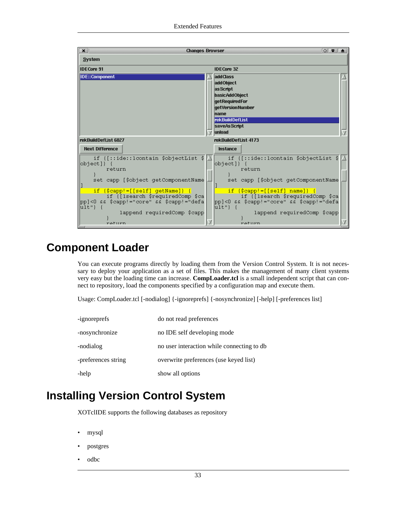

### **Component Loader**

<span id="page-38-0"></span>You can execute programs directly by loading them from the Version Control System. It is not necessary to deploy your application as a set of files. This makes the management of many client systems very easy but the loading time can increase. **CompLoader.tcl** is a small independent script that can connect to repository, load the components specified by a configuration map and execute them.

Usage: CompLoader.tcl [-nodialog] {-ignoreprefs] {-nosynchronize] [-help] [-preferences list]

| -ignoreprefs        | do not read preferences                    |
|---------------------|--------------------------------------------|
| -nosynchronize      | no IDE self developing mode                |
| -nodialog           | no user interaction while connecting to db |
| -preferences string | overwrite preferences (use keyed list)     |
| -help               | show all options                           |

## **Installing Version Control System**

<span id="page-38-1"></span>XOTclIDE supports the following databases as repository

- mysql
- postgres
- odbc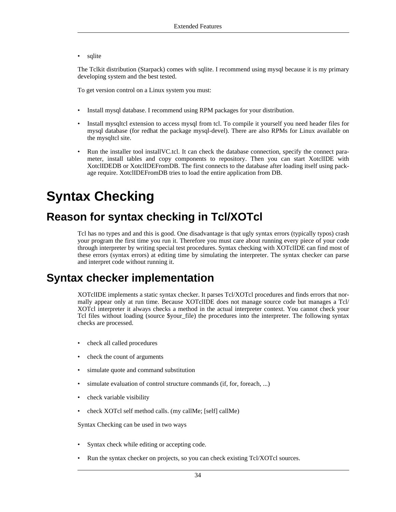sqlite

The Tclkit distribution (Starpack) comes with sqlite. I recommend using mysql because it is my primary developing system and the best tested.

To get version control on a Linux system you must:

- Install mysql database. I recommend using RPM packages for your distribution.
- Install mysqltcl extension to access mysql from tcl. To compile it yourself you need header files for mysql database (for redhat the package mysql-devel). There are also RPMs for Linux available on the mysqltcl site.
- Run the installer tool installVC.tcl. It can check the database connection, specify the connect parameter, install tables and copy components to repository. Then you can start XotclIDE with XotclIDEDB or XotclIDEFromDB. The first connects to the database after loading itself using package require. XotclIDEFromDB tries to load the entire application from DB.

# <span id="page-39-0"></span>**Syntax Checking**

## **Reason for syntax checking in Tcl/XOTcl**

<span id="page-39-1"></span>Tcl has no types and and this is good. One disadvantage is that ugly syntax errors (typically typos) crash your program the first time you run it. Therefore you must care about running every piece of your code through interpreter by writing special test procedures. Syntax checking with XOTclIDE can find most of these errors (syntax errors) at editing time by simulating the interpreter. The syntax checker can parse and interpret code without running it.

### **Syntax checker implementation**

<span id="page-39-2"></span>XOTclIDE implements a static syntax checker. It parses Tcl/XOTcl procedures and finds errors that normally appear only at run time. Because XOTclIDE does not manage source code but manages a Tcl/ XOTcl interpreter it always checks a method in the actual interpreter context. You cannot check your Tcl files without loading (source \$your\_file) the procedures into the interpreter. The following syntax checks are processed.

- check all called procedures
- check the count of arguments
- simulate quote and command substitution
- simulate evaluation of control structure commands (if, for, foreach, ...)
- check variable visibility
- check XOTcl self method calls. (my callMe; [self] callMe)

Syntax Checking can be used in two ways

- Syntax check while editing or accepting code.
- Run the syntax checker on projects, so you can check existing Tcl/XOTcl sources.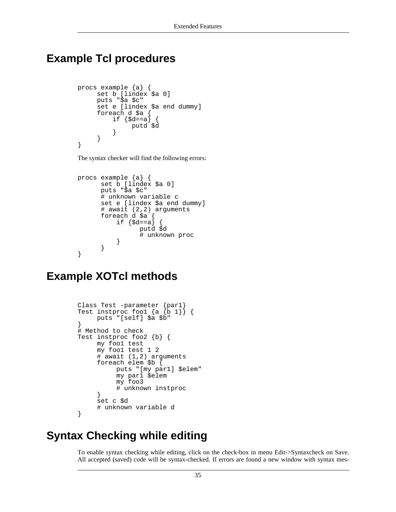### <span id="page-40-0"></span>**Example Tcl procedures**

```
procs example {a} {
     set b [lindex $a 0]
     puts "$a $c"
     set e [lindex $a end dummy]
     foreach d $a {
          if \{\text{Sd}==a\}putd $d
          }
     }
}
```
The syntax checker will find the following errors:

```
procs example {a} {
      set b [lindex $a 0]
      puts "$a $c"
      # unknown variable c
      set e [lindex $a end dummy]
      # await (2,2) arguments
      foreach d $a {
          if \{Sd==a\}putd $d
                 # unknown proc
          }
      }
}
```
### <span id="page-40-1"></span>**Example XOTcl methods**

```
Class Test -parameter {par1}
Test instproc fool \{a \{b 1\}\}\puts "[self] $a $b"
}
# Method to check
Test instproc foo2 {b} {
     my foo1 test
     my foo1 test 1 2
     # await (1,2) arguments
     foreach elem $b {
          puts "[my par1] $elem"
          my par1 $elem
          my foo3
          # unknown instproc
     }
     set c $d
     # unknown variable d
}
```
# **Syntax Checking while editing**

<span id="page-40-2"></span>To enable syntax checking while editing, click on the check-box in menu Edit->Syntaxcheck on Save. All accepted (saved) code will be syntax-checked. If errors are found a new window with syntax mes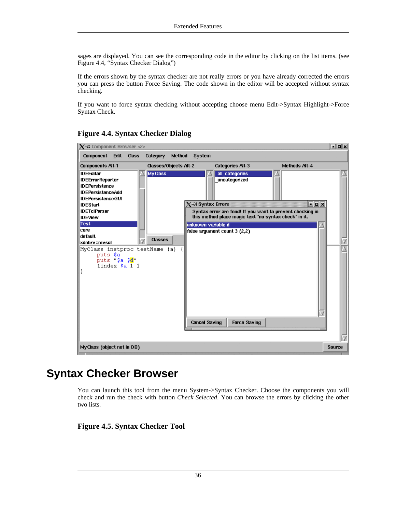sages are displayed. You can see the corresponding code in the editor by clicking on the list items. (see [Figure 4.4, "Syntax Checker Dialog"](#page-41-1))

If the errors shown by the syntax checker are not really errors or you have already corrected the errors you can press the button Force Saving. The code shown in the editor will be accepted without syntax checking.

If you want to force syntax checking without accepting choose menu Edit->Syntax Highlight->Force Syntax Check.

| $\chi$ –M Component Browser <2>                                                                                                                                                                                                                                                                                                               |                              |                                                                                                                                                                                                                                                                                       | oox                  |
|-----------------------------------------------------------------------------------------------------------------------------------------------------------------------------------------------------------------------------------------------------------------------------------------------------------------------------------------------|------------------------------|---------------------------------------------------------------------------------------------------------------------------------------------------------------------------------------------------------------------------------------------------------------------------------------|----------------------|
| Component Edit Class                                                                                                                                                                                                                                                                                                                          | Category<br>Method           | System                                                                                                                                                                                                                                                                                |                      |
| <b>Components Alt-1</b>                                                                                                                                                                                                                                                                                                                       | <b>Classes/Objects Alt-2</b> | <b>Categories Alt-3</b>                                                                                                                                                                                                                                                               | <b>Methods Alt-4</b> |
| <b>IDEEditor</b><br><b>IDEErrorReporter</b><br><b>IDEPersistence</b><br><b>IDEPersistenceAdd</b><br><b>IDEPersistence GUI</b><br><b>IDEStart</b><br><b>IDETcIParser</b><br><b>IDEView</b><br><b>Test</b><br>core<br>default<br>xdobry::mysal<br>MyClass instproc testName {a}<br>puts \$a<br>puts "\$a \$ <mark>d</mark> "<br>lindex $$a$ 1 1 | <b>My Class</b><br>Classes   | all categories<br>uncategorized<br>$\chi$ -M Syntax Errors<br>Syntax error are fond! If you want to prevent checking in<br>this method place magic text "no syntax check" in it.<br>unknown variable d<br>false argument count 3 (2,2)<br><b>Cancel Saving</b><br><b>Force Saving</b> | <b>NDX</b>           |
| My Class (object not in DB)                                                                                                                                                                                                                                                                                                                   |                              |                                                                                                                                                                                                                                                                                       | <b>Source</b>        |

#### <span id="page-41-1"></span>**Figure 4.4. Syntax Checker Dialog**

### **Syntax Checker Browser**

<span id="page-41-0"></span>You can launch this tool from the menu System->Syntax Checker. Choose the components you will check and run the check with button *Check Selected*. You can browse the errors by clicking the other two lists.

#### <span id="page-41-2"></span>**Figure 4.5. Syntax Checker Tool**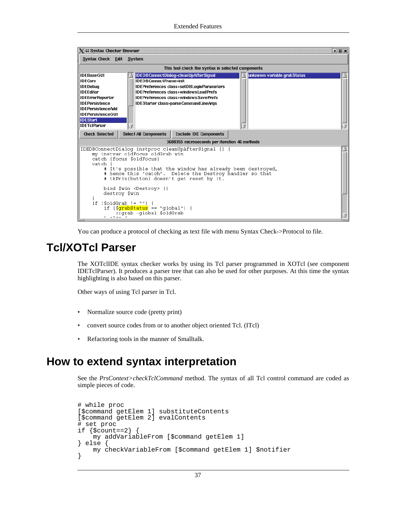| $X+$ Syntax Checker Browser                                                                                                                                                                                                                                                                                                                                                                                                                                                               | <b>EDX</b>                                                                                                                                                                                |  |  |  |  |  |
|-------------------------------------------------------------------------------------------------------------------------------------------------------------------------------------------------------------------------------------------------------------------------------------------------------------------------------------------------------------------------------------------------------------------------------------------------------------------------------------------|-------------------------------------------------------------------------------------------------------------------------------------------------------------------------------------------|--|--|--|--|--|
|                                                                                                                                                                                                                                                                                                                                                                                                                                                                                           | Syntax Check Edit System                                                                                                                                                                  |  |  |  |  |  |
|                                                                                                                                                                                                                                                                                                                                                                                                                                                                                           | This tool check the syntax in selected components                                                                                                                                         |  |  |  |  |  |
| IDEBaseGUI<br>IDEDBConnectDialog>cleanUpAfterSignal<br>unknown variable grabStatus<br>⊪IDECore<br><b>IDEDBConnectFrame&gt;init</b><br>∥IDEDebua<br>IDEPreferences class>setDBLoginParameters<br>llIDEEditor<br><b>IDEPreferences class&gt;windowsLoadPrefs</b><br>  IDEErrorReporter<br><b>IDEPreferences class&gt;windowsSavePrefs</b><br>   IDEPersistence<br>IDEStarter class>parseCommandLineArgs<br>IIDFPersistenceAdd<br>   IDEPersistence GUI<br><b>IDEStart</b><br>  IDETcIParser |                                                                                                                                                                                           |  |  |  |  |  |
| <b>Check Selected</b>                                                                                                                                                                                                                                                                                                                                                                                                                                                                     | <b>Select All Components</b><br><b>Exclude IDE Components</b>                                                                                                                             |  |  |  |  |  |
|                                                                                                                                                                                                                                                                                                                                                                                                                                                                                           | 3688355 microseconds per iteration 46 methods                                                                                                                                             |  |  |  |  |  |
| IDEDBConnectDialog instproc cleanUpAfterSignal {} {<br>my instvar oldFocus oldGrab win<br>catch {focus \$oldFocus}<br>catch<br># It's possible that the window has already been destroyed,<br># hence this "catch". Delete the Destroy handler so that<br># tkPriv(button) doesn't get reset by it.                                                                                                                                                                                       |                                                                                                                                                                                           |  |  |  |  |  |
|                                                                                                                                                                                                                                                                                                                                                                                                                                                                                           | bind \$win <destroy> {}<br/>destroy \$win<br/>if <math>\{\text{foldGraph}\} = \{\}</math> {<br/>if <math>{\sqrt{grab}S}</math>tatus == "global"} {<br/>::grab -global \$oldGrab</destroy> |  |  |  |  |  |

<span id="page-42-0"></span>You can produce a protocol of checking as text file with menu Syntax Check->Protocol to file.

## **Tcl/XOTcl Parser**

The XOTclIDE syntax checker works by using its Tcl parser programmed in XOTcl (see component IDETclParser). It produces a parser tree that can also be used for other purposes. At this time the syntax highlighting is also based on this parser.

Other ways of using Tcl parser in Tcl.

- Normalize source code (pretty print)
- convert source codes from or to another object oriented Tcl. (ITcl)
- <span id="page-42-1"></span>• Refactoring tools in the manner of Smalltalk.

### **How to extend syntax interpretation**

See the *PrsContext>checkTclCommand* method. The syntax of all Tcl control command are coded as simple pieces of code.

```
# while proc
[$command getElem 1] substituteContents
[$command getElem 2] evalContents
# set proc
if \{$count==2\} {
    my addVariableFrom [$command getElem 1]
 else
   my checkVariableFrom [$command getElem 1] $notifier
}
```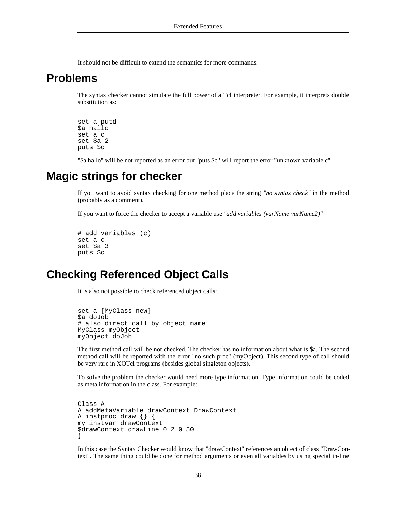<span id="page-43-0"></span>It should not be difficult to extend the semantics for more commands.

### **Problems**

The syntax checker cannot simulate the full power of a Tcl interpreter. For example, it interprets double substitution as:

```
set a putd
$a hallo
set a c
set $a 2
puts $c
```
<span id="page-43-1"></span>"\$a hallo" will be not reported as an error but "puts \$c" will report the error "unknown variable c".

### **Magic strings for checker**

If you want to avoid syntax checking for one method place the string *"no syntax check"* in the method (probably as a comment).

If you want to force the checker to accept a variable use *"add variables (varName varName2)"*

```
# add variables (c)
set a c
set $a 3
puts $c
```
### **Checking Referenced Object Calls**

It is also not possible to check referenced object calls:

```
set a [MyClass new]
$a doJob
# also direct call by object name
MyClass myObject
myObject doJob
```
The first method call will be not checked. The checker has no information about what is \$a. The second method call will be reported with the error "no such proc" (myObject). This second type of call should be very rare in XOTcl programs (besides global singleton objects).

To solve the problem the checker would need more type information. Type information could be coded as meta information in the class. For example:

```
Class A
A addMetaVariable drawContext DrawContext
A instproc draw {} {
my instvar drawContext
$drawContext drawLine 0 2 0 50
}
```
In this case the Syntax Checker would know that "drawContext" references an object of class "DrawContext". The same thing could be done for method arguments or even all variables by using special in-line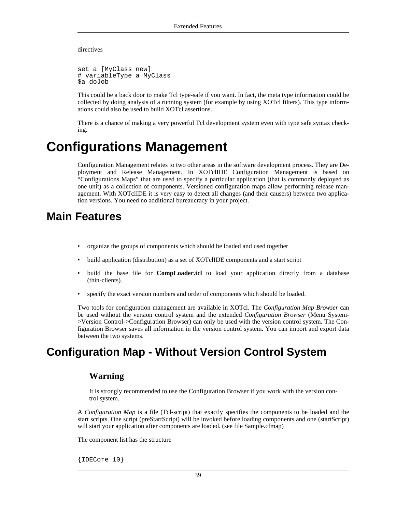directives

```
set a [MyClass new]
# variableType a MyClass
$a doJob
```
This could be a back door to make Tcl type-safe if you want. In fact, the meta type information could be collected by doing analysis of a running system (for example by using XOTcl filters). This type informations could also be used to build XOTcl assertions.

<span id="page-44-0"></span>There is a chance of making a very powerful Tcl development system even with type safe syntax checking.

# **Configurations Management**

Configuration Management relates to two other areas in the software development process. They are Deployment and Release Management. In XOTclIDE Configuration Management is based on "Configurations Maps" that are used to specify a particular application (that is commonly deployed as one unit) as a collection of components. Versioned configuration maps allow performing release management. With XOTclIDE it is very easy to detect all changes (and their causers) between two application versions. You need no additional bureaucracy in your project.

### <span id="page-44-1"></span>**Main Features**

- organize the groups of components which should be loaded and used together
- build application (distribution) as a set of XOTclIDE components and a start script
- build the base file for **CompLoader.tcl** to load your application directly from a database (thin-clients).
- specify the exact version numbers and order of components which should be loaded.

Two tools for configuration management are available in XOTcl. The *Configuration Map Browser* can be used without the version control system and the extended *Configuration Browser* (Menu System- >Version Control->Configuration Browser) can only be used with the version control system. The Configuration Browser saves all information in the version control system. You can import and export data between the two systems.

## <span id="page-44-2"></span>**Configuration Map - Without Version Control System**

#### **Warning**

It is strongly recommended to use the Configuration Browser if you work with the version control system.

A *Configuration Map* is a file (Tcl-script) that exactly specifies the components to be loaded and the start scripts. One script (preStartScript) will be invoked before loading components and one (startScript) will start your application after components are loaded. (see file Sample.cfmap)

The component list has the structure

{IDECore 10}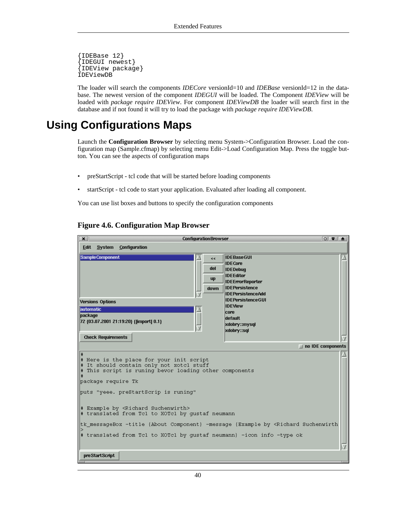```
{IDEBase 12}
 {IDEGUI newest}
{IDEView package}
IDEViewDB
```
<span id="page-45-0"></span>The loader will search the components *IDECore* versionId=10 and *IDEBase* versionId=12 in the database. The newest version of the component *IDEGUI* will be loaded. The Component *IDEView* will be loaded with *package require IDEView*. For component *IDEViewDB* the loader will search first in the database and if not found it will try to load the package with *package require IDEViewDB*.

### **Using Configurations Maps**

Launch the **Configuration Browser** by selecting menu System->Configuration Browser. Load the configuration map (Sample.cfmap) by selecting menu Edit->Load Configuration Map. Press the toggle button. You can see the aspects of configuration maps

- preStartScript tcl code that will be started before loading components
- startScript tcl code to start your application. Evaluated after loading all component.

<span id="page-45-1"></span>You can use list boxes and buttons to specify the configuration components

#### **ConfigurationBrowser**  $\boxed{0}$  $\vert x \vert$ Edit System Configuration **IDEBaseGUI** Sample Component kk **IDECore** del **IDEDebug IDEEditor up IDEErrorReporter IDEPersistence** down **IDEPersistenceAdd** IDEPersistence GUI **Versions Options IDEView** automatic core package default 72 {03.07.2001 21:19:20} {[import] 0.1} xdobry::mysql xdobry::sql **Check Requirements**  $\Box$  no IDE components Here is the place for your init script It should contain only not xotcl stuff<br>This script is runing bevor loading other components package require Tk puts "yeee. preStartScrip is runing" # Example by <Richard Suchenwirth> # translated from Tcl to XOTcl by gustaf neumann tk\_messageBox -title {About Component} -message {Example by <Richard Suchenwirth translated from Tcl to XOTcl by gustaf neumann} -icon info -type ok preStartScript

#### **Figure 4.6. Configuration Map Browser**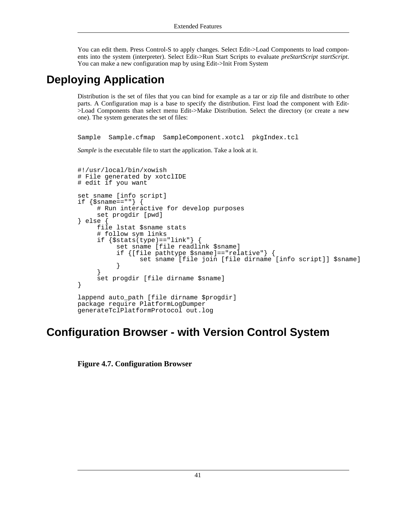<span id="page-46-0"></span>You can edit them. Press Control-S to apply changes. Select Edit->Load Components to load components into the system (interpreter). Select Edit->Run Start Scripts to evaluate *preStartScript startScript*. You can make a new configuration map by using Edit->Init From System

# **Deploying Application**

Distribution is the set of files that you can bind for example as a tar or zip file and distribute to other parts. A Configuration map is a base to specify the distribution. First load the component with Edit- >Load Components than select menu Edit->Make Distribution. Select the directory (or create a new one). The system generates the set of files:

Sample Sample.cfmap SampleComponent.xotcl pkgIndex.tcl

*Sample* is the executable file to start the application. Take a look at it.

```
#!/usr/local/bin/xowish
# File generated by xotclIDE
# edit if you want
set sname [info script]
if \{$sname==""} \{# Run interactive for develop purposes
     set progdir [pwd]
} else {
     file lstat $sname stats
     # follow sym links
     if \{$stats(type) == "link" } {
          set sname [file readlink $sname]
          if {[file pathtype $sname]=="relative"} {
                set sname [file join [file dirname [info script]] $sname]
          }
     }
     set progdir [file dirname $sname]
}
lappend auto_path [file dirname $progdir]
package require PlatformLogDumper
generateTclPlatformProtocol out.log
```
### <span id="page-46-1"></span>**Configuration Browser - with Version Control System**

<span id="page-46-2"></span>**Figure 4.7. Configuration Browser**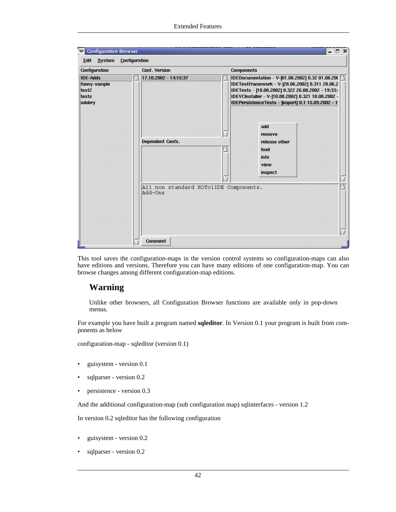| <b>Configuration</b>                                        | Conf. Version                                    | <b>Components</b>                                                                                                                                                                                                                                                     |
|-------------------------------------------------------------|--------------------------------------------------|-----------------------------------------------------------------------------------------------------------------------------------------------------------------------------------------------------------------------------------------------------------------------|
| <b>IDE-Adds</b><br>funny-sample<br>test2<br>tests<br>xdobry | 17.10.2002 - 14:15:37                            | IDEDocumentation - V-[01.08.2002] 0.32 01.08.200<br>IDETestFramework - V-[28.06.2002] 0.311 28.06.2<br>IDETests - [10.08.2002] 0.322 26.08.2002 - 19:33:4<br>IDEVCInstaller - V-[10.08.2002] 0.321 10.08.2002 -<br>IDEPersistenceTests - [import] 0.1 15.09.2002 - 11 |
|                                                             | Dependent Confs.                                 | add<br>remove<br>release other<br>load<br>info<br>view<br>inspect                                                                                                                                                                                                     |
|                                                             | All non standard XOTclIDE Components.<br>Add-Ons |                                                                                                                                                                                                                                                                       |

This tool saves the configuration-maps in the version control systems so configuration-maps can also have editions and versions. Therefore you can have many editions of one configuration-map. You can browse changes among different configuration-map editions.

#### **Warning**

Unlike other browsers, all Configuration Browser functions are available only in pop-down menus.

For example you have built a program named **sqleditor**. In Version 0.1 your program is built from components as below

configuration-map - sqleditor (version 0.1)

- guisystem version 0.1
- sqlparser version 0.2
- persistence version 0.3

And the additional configuration-map (sub configuration map) sqlinterfaces - version 1.2

In version 0.2 sqleditor has the following configuration

- guisystem version 0.2
- sqlparser version 0.2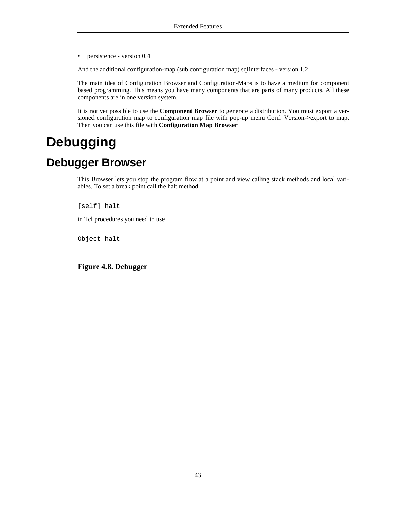• persistence - version 0.4

And the additional configuration-map (sub configuration map) sqlinterfaces - version 1.2

The main idea of Configuration Browser and Configuration-Maps is to have a medium for component based programming. This means you have many components that are parts of many products. All these components are in one version system.

<span id="page-48-0"></span>It is not yet possible to use the **Component Browser** to generate a distribution. You must export a versioned configuration map to configuration map file with pop-up menu Conf. Version->export to map. Then you can use this file with **Configuration Map Browser**

# **Debugging**

# **Debugger Browser**

<span id="page-48-1"></span>This Browser lets you stop the program flow at a point and view calling stack methods and local variables. To set a break point call the halt method

[self] halt

in Tcl procedures you need to use

Object halt

<span id="page-48-2"></span>**Figure 4.8. Debugger**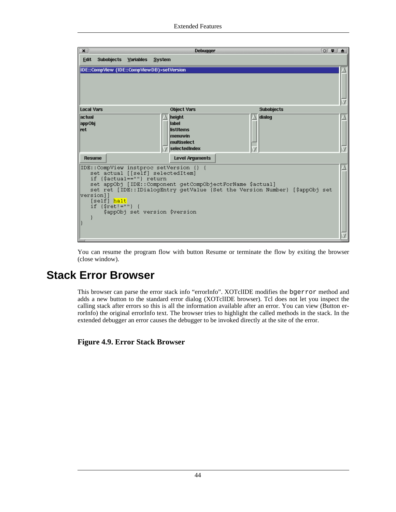| $\boldsymbol{\mathsf{x}}$                                                  | <b>Debugger</b>              | $\circ$ $\bullet$ $\bullet$                                                |  |
|----------------------------------------------------------------------------|------------------------------|----------------------------------------------------------------------------|--|
| Subobjects Variables System<br><b>Edit</b>                                 |                              |                                                                            |  |
| IDE::CompView (IDE::CompViewDB)>setVersion                                 |                              |                                                                            |  |
|                                                                            |                              |                                                                            |  |
| <b>Local Vars</b>                                                          | <b>Object Vars</b>           | <b>Subobjects</b>                                                          |  |
| lactual                                                                    | height                       | dialog                                                                     |  |
| appObj<br><b></b> ret                                                      | label<br>listitems           |                                                                            |  |
|                                                                            | menuwin                      |                                                                            |  |
|                                                                            | multiselect<br>selectedIndex |                                                                            |  |
|                                                                            |                              |                                                                            |  |
| <b>Resume</b>                                                              | <b>Level Arquments</b>       |                                                                            |  |
| IDE::CompView instproc setVersion {} {<br>set actual [[self] selectedItem] |                              |                                                                            |  |
| if {\$actual==""} return                                                   |                              |                                                                            |  |
| set appObj [IDE::Component getCompObjectForName \$actual]                  |                              |                                                                            |  |
| version]]                                                                  |                              | set ret [IDE::IDialogEntry getValue {Set the Version Number} [\$appObj set |  |
| [self] halt]                                                               |                              |                                                                            |  |
| if $\{$ \$ret! = ""}<br>\$appObj set version \$version                     |                              |                                                                            |  |
|                                                                            |                              |                                                                            |  |
|                                                                            |                              |                                                                            |  |
|                                                                            |                              |                                                                            |  |
|                                                                            |                              |                                                                            |  |

<span id="page-49-0"></span>You can resume the program flow with button Resume or terminate the flow by exiting the browser (close window).

### **Stack Error Browser**

This browser can parse the error stack info "errorInfo". XOTclIDE modifies the bgerror method and adds a new button to the standard error dialog (XOTclIDE browser). Tcl does not let you inspect the calling stack after errors so this is all the information available after an error. You can view (Button errorInfo) the original errorInfo text. The browser tries to highlight the called methods in the stack. In the extended debugger an error causes the debugger to be invoked directly at the site of the error.

<span id="page-49-1"></span>**Figure 4.9. Error Stack Browser**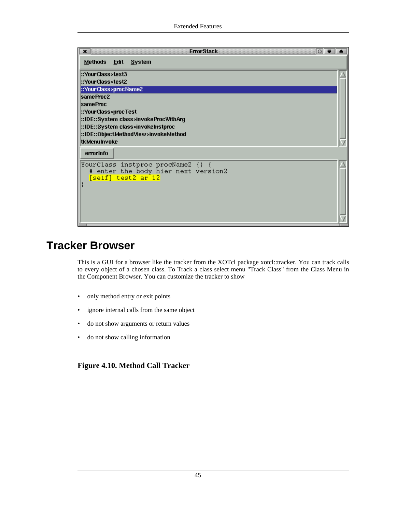| $\circ$ $\bullet$ $\bullet$<br><b>ErrorStack</b><br>×                                                                                                         |  |
|---------------------------------------------------------------------------------------------------------------------------------------------------------------|--|
| Methods Edit System                                                                                                                                           |  |
| ::YourClass>test3<br>::YourClass>test2                                                                                                                        |  |
| ::YourClass>procName2<br>sameProc2<br><b>sameProc</b>                                                                                                         |  |
| ::YourClass>procTest<br>::IDE::System class>invokeProcWithArg<br>::IDE::System class>invokeInstproc:<br>::IDE::ObjectMethodView>invokeMethod:<br>tkMenuInvoke |  |
| errorinfo<br>YourClass instproc procName2 {} {<br># enter the body hier next version2<br>[self] test2 ar 12                                                   |  |

# **Tracker Browser**

<span id="page-50-0"></span>This is a GUI for a browser like the tracker from the XOTcl package xotcl::tracker. You can track calls to every object of a chosen class. To Track a class select menu "Track Class" from the Class Menu in the Component Browser. You can customize the tracker to show

- only method entry or exit points
- ignore internal calls from the same object
- do not show arguments or return values
- do not show calling information

#### <span id="page-50-1"></span>**Figure 4.10. Method Call Tracker**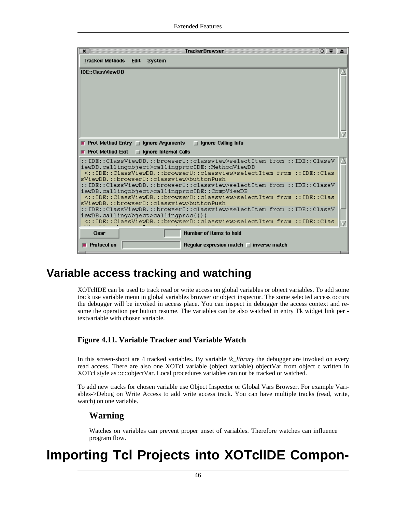| <b>Tracked Methods</b><br>Edit System<br><b>IDE::ClassViewDB</b><br><b>F</b> Prot Method Entry $\Box$ Ignore Arguments<br><b>Solution</b> I denote Calling Info<br><b>Prot Method Exit</b><br>$\Box$ Ignore Internal Calls<br>::IDE::ClassViewDB.::browser0::classview>selectItem from ::IDE::ClassV<br>iewDB.callingobject>callingprocIDE::MethodViewDB<br><::IDE::ClassViewDB.::browser0::classview>selectItem_from_::IDE::Clas><br>sViewDB.::browser0::classview>buttonPush<br>::IDE::ClassViewDB.::browser0::classview>selectItem from ::IDE::ClassV<br>iewDB.callingobject>callingprocIDE::CompViewDB<br><::IDE::ClassViewDB.::browser0::classview>selectItem from ::IDE::Clas><br>sViewDB.::browser0::classview>buttonPush<br>::IDE::ClassViewDB.::browser0::classview>selectItem from ::IDE::ClassV<br>iewDB.callingobject>callingproc{{}}<br><::IDE::ClassViewDB.::browser0::classview>selectItem from ::IDE::Clas<br>Clear<br>Number of items to hold | × | <b>TrackerBrowser</b><br>$\circ$ $\bullet$ $\bullet$ |  |
|----------------------------------------------------------------------------------------------------------------------------------------------------------------------------------------------------------------------------------------------------------------------------------------------------------------------------------------------------------------------------------------------------------------------------------------------------------------------------------------------------------------------------------------------------------------------------------------------------------------------------------------------------------------------------------------------------------------------------------------------------------------------------------------------------------------------------------------------------------------------------------------------------------------------------------------------------------------|---|------------------------------------------------------|--|
|                                                                                                                                                                                                                                                                                                                                                                                                                                                                                                                                                                                                                                                                                                                                                                                                                                                                                                                                                                |   |                                                      |  |
|                                                                                                                                                                                                                                                                                                                                                                                                                                                                                                                                                                                                                                                                                                                                                                                                                                                                                                                                                                |   |                                                      |  |
|                                                                                                                                                                                                                                                                                                                                                                                                                                                                                                                                                                                                                                                                                                                                                                                                                                                                                                                                                                |   |                                                      |  |
|                                                                                                                                                                                                                                                                                                                                                                                                                                                                                                                                                                                                                                                                                                                                                                                                                                                                                                                                                                |   |                                                      |  |
|                                                                                                                                                                                                                                                                                                                                                                                                                                                                                                                                                                                                                                                                                                                                                                                                                                                                                                                                                                |   |                                                      |  |
|                                                                                                                                                                                                                                                                                                                                                                                                                                                                                                                                                                                                                                                                                                                                                                                                                                                                                                                                                                |   |                                                      |  |
|                                                                                                                                                                                                                                                                                                                                                                                                                                                                                                                                                                                                                                                                                                                                                                                                                                                                                                                                                                |   |                                                      |  |
|                                                                                                                                                                                                                                                                                                                                                                                                                                                                                                                                                                                                                                                                                                                                                                                                                                                                                                                                                                |   |                                                      |  |
|                                                                                                                                                                                                                                                                                                                                                                                                                                                                                                                                                                                                                                                                                                                                                                                                                                                                                                                                                                |   |                                                      |  |
|                                                                                                                                                                                                                                                                                                                                                                                                                                                                                                                                                                                                                                                                                                                                                                                                                                                                                                                                                                |   |                                                      |  |
|                                                                                                                                                                                                                                                                                                                                                                                                                                                                                                                                                                                                                                                                                                                                                                                                                                                                                                                                                                |   |                                                      |  |
|                                                                                                                                                                                                                                                                                                                                                                                                                                                                                                                                                                                                                                                                                                                                                                                                                                                                                                                                                                |   |                                                      |  |
|                                                                                                                                                                                                                                                                                                                                                                                                                                                                                                                                                                                                                                                                                                                                                                                                                                                                                                                                                                |   |                                                      |  |
|                                                                                                                                                                                                                                                                                                                                                                                                                                                                                                                                                                                                                                                                                                                                                                                                                                                                                                                                                                |   |                                                      |  |
|                                                                                                                                                                                                                                                                                                                                                                                                                                                                                                                                                                                                                                                                                                                                                                                                                                                                                                                                                                |   |                                                      |  |
|                                                                                                                                                                                                                                                                                                                                                                                                                                                                                                                                                                                                                                                                                                                                                                                                                                                                                                                                                                |   |                                                      |  |
| Protocol on<br>Requiar expresion match $\Box$ inverse match                                                                                                                                                                                                                                                                                                                                                                                                                                                                                                                                                                                                                                                                                                                                                                                                                                                                                                    |   |                                                      |  |

### **Variable access tracking and watching**

<span id="page-51-0"></span>XOTclIDE can be used to track read or write access on global variables or object variables. To add some track use variable menu in global variables browser or object inspector. The some selected access occurs the debugger will be invoked in access place. You can inspect in debugger the access context and resume the operation per button resume. The variables can be also watched in entry Tk widget link per textvariable with chosen variable.

#### <span id="page-51-1"></span>**Figure 4.11. Variable Tracker and Variable Watch**

In this screen-shoot are 4 tracked variables. By variable *tk\_library* the debugger are invoked on every read access. There are also one XOTcl variable (object variable) objectVar from object c written in XOTcl style as ::c::objectVar. Local procedures variables can not be tracked or watched.

To add new tracks for chosen variable use Object Inspector or Global Vars Browser. For example Variables->Debug on Write Access to add write access track. You can have multiple tracks (read, write, watch) on one variable.

#### **Warning**

Watches on variables can prevent proper unset of variables. Therefore watches can influence program flow.

# **Importing Tcl Projects into XOTclIDE Compon-**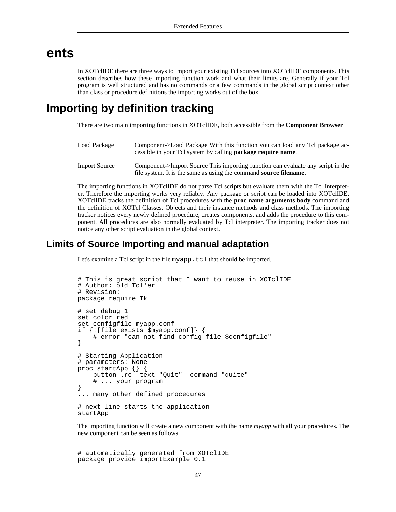### **ents**

<span id="page-52-1"></span><span id="page-52-0"></span>In XOTclIDE there are three ways to import your existing Tcl sources into XOTclIDE components. This section describes how these importing function work and what their limits are. Generally if your Tcl program is well structured and has no commands or a few commands in the global script context other than class or procedure definitions the importing works out of the box.

### **Importing by definition tracking**

There are two main importing functions in XOTclIDE, both accessible from the **Component Browser**

| Load Package         | Component->Load Package With this function you can load any Tcl package ac-<br>cessible in your Tcl system by calling <b>package require name</b> . |
|----------------------|-----------------------------------------------------------------------------------------------------------------------------------------------------|
| <b>Import Source</b> | Component->Import Source This importing function can evaluate any script in the                                                                     |

file system. It is the same as using the command **source filename**.

The importing functions in XOTclIDE do not parse Tcl scripts but evaluate them with the Tcl Interpreter. Therefore the importing works very reliably. Any package or script can be loaded into XOTclIDE. XOTclIDE tracks the definition of Tcl procedures with the **proc name arguments body** command and the definition of XOTcl Classes, Objects and their instance methods and class methods. The importing tracker notices every newly defined procedure, creates components, and adds the procedure to this component. All procedures are also normally evaluated by Tcl interpreter. The importing tracker does not notice any other script evaluation in the global context.

#### **Limits of Source Importing and manual adaptation**

Let's examine a Tcl script in the file myapp.tcl that should be imported.

```
# This is great script that I want to reuse in XOTclIDE
# Author: old Tcl'er
# Revision:
package require Tk
# set debug 1
set color red
set configfile myapp.conf
if {![file exists $myapp.conf]} {
    # error "can not find config file $configfile"
}
# Starting Application
# parameters: None
proc startApp {} {
    button .re -text "Quit" -command "quite"
    # ... your program
}
... many other defined procedures
# next line starts the application
startApp
```
The importing function will create a new component with the name *myapp* with all your procedures. The new component can be seen as follows

# automatically generated from XOTclIDE package provide importExample 0.1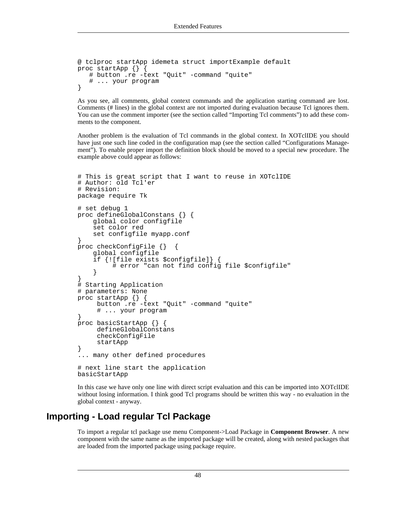```
@ tclproc startApp idemeta struct importExample default
proc startApp \{\}# button .re -text "Quit" -command "quite"
   # ... your program
}
```
As you see, all comments, global context commands and the application starting command are lost. Comments (# lines) in the global context are not imported during evaluation because Tcl ignores them. You can use the comment importer (see [the section called "Importing Tcl comments"](#page-55-0)) to add these comments to the component.

Another problem is the evaluation of Tcl commands in the global context. In XOTclIDE you should have just one such line coded in the configuration map (see t[he section called "Configurations Manage](#page-44-0)[ment"](#page-44-0)). To enable proper import the definition block should be moved to a special new procedure. The example above could appear as follows:

```
# This is great script that I want to reuse in XOTclIDE
# Author: old Tcl'er
# Revision:
package require Tk
# set debug 1
proc defineGlobalConstans {} {
    global color configfile
    set color red
    set configfile myapp.conf
}
proc checkConfigFile {} {
    global configfile
    if {![file exists $configfile]} {
         # error "can not find config file $configfile"
    }
}
# Starting Application
# parameters: None
proc startApp {} {
     button .re -text "Quit" -command "quite"
     # ... your program
}
proc basicStartApp {} {
     defineGlobalConstans
     checkConfigFile
     startApp
}
... many other defined procedures
# next line start the application
basicStartApp
```
In this case we have only one line with direct script evaluation and this can be imported into XOTclIDE without losing information. I think good Tcl programs should be written this way - no evaluation in the global context - anyway.

#### **Importing - Load regular Tcl Package**

To import a regular tcl package use menu Component->Load Package in **Component Browser**. A new component with the same name as the imported package will be created, along with nested packages that are loaded from the imported package using package require.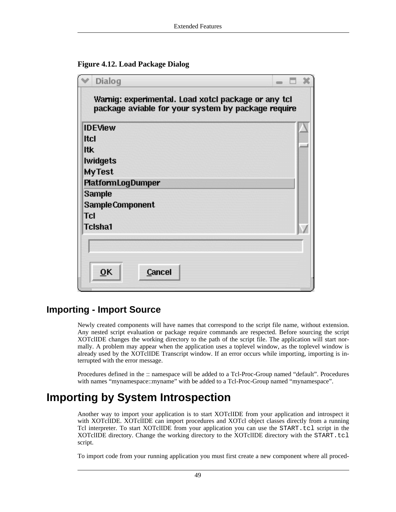<span id="page-54-1"></span>

| Dialog                                                                                                    |  |  |
|-----------------------------------------------------------------------------------------------------------|--|--|
| Warnig: experimental. Load xotcl package or any tcl<br>package aviable for your system by package require |  |  |
| <b>IDEView</b>                                                                                            |  |  |
| <b>Itcl</b>                                                                                               |  |  |
| litk                                                                                                      |  |  |
| <b>Iwidgets</b>                                                                                           |  |  |
| <b>MyTest</b>                                                                                             |  |  |
| <b>PlatformLogDumper</b>                                                                                  |  |  |
| Sample                                                                                                    |  |  |
| Sample Component                                                                                          |  |  |
| <b>Tcl</b>                                                                                                |  |  |
| <b>Tcisha1</b>                                                                                            |  |  |
|                                                                                                           |  |  |
|                                                                                                           |  |  |
| $\overline{\mathsf{O}}$ K<br>Cancel                                                                       |  |  |

#### **Importing - Import Source**

Newly created components will have names that correspond to the script file name, without extension. Any nested script evaluation or package require commands are respected. Before sourcing the script XOTclIDE changes the working directory to the path of the script file. The application will start normally. A problem may appear when the application uses a toplevel window, as the toplevel window is already used by the XOTclIDE Transcript window. If an error occurs while importing, importing is interrupted with the error message.

<span id="page-54-0"></span>Procedures defined in the :: namespace will be added to a Tcl-Proc-Group named "default". Procedures with names "mynamespace::myname" with be added to a Tcl-Proc-Group named "mynamespace".

## **Importing by System Introspection**

Another way to import your application is to start XOTclIDE from your application and introspect it with XOTclIDE. XOTclIDE can import procedures and XOTcl object classes directly from a running Tcl interpreter. To start XOTclIDE from your application you can use the START.tcl script in the XOTclIDE directory. Change the working directory to the XOTclIDE directory with the START.tcl script.

To import code from your running application you must first create a new component where all proced-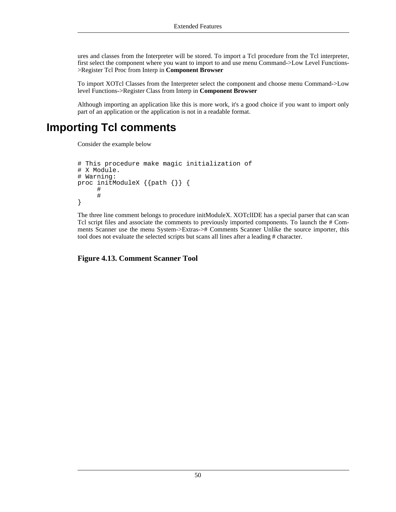ures and classes from the Interpreter will be stored. To import a Tcl procedure from the Tcl interpreter, first select the component where you want to import to and use menu Command->Low Level Functions- >Register Tcl Proc from Interp in **Component Browser**

To import XOTcl Classes from the Interpreter select the component and choose menu Command->Low level Functions->Register Class from Interp in **Component Browser**

<span id="page-55-0"></span>Although importing an application like this is more work, it's a good choice if you want to import only part of an application or the application is not in a readable format.

### **Importing Tcl comments**

Consider the example below

```
# This procedure make magic initialization of
# X Module.
# Warning:
proc initModuleX {{path {}} {
     #
     #
}
```
The three line comment belongs to procedure initModuleX. XOTclIDE has a special parser that can scan Tcl script files and associate the comments to previously imported components. To launch the # Comments Scanner use the menu System->Extras-># Comments Scanner Unlike the source importer, this tool does not evaluate the selected scripts but scans all lines after a leading # character.

<span id="page-55-1"></span>**Figure 4.13. Comment Scanner Tool**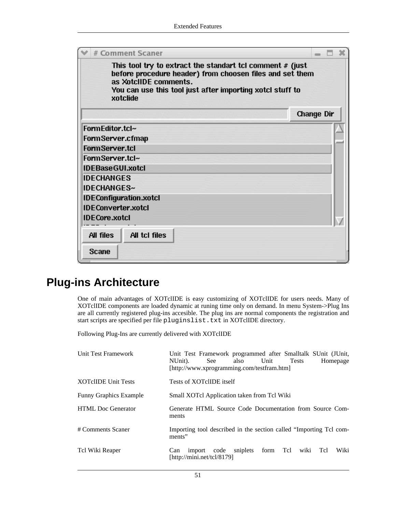| # Comment Scaner                                                                                                                                                                                                          |            |
|---------------------------------------------------------------------------------------------------------------------------------------------------------------------------------------------------------------------------|------------|
| This tool try to extract the standart tcl comment $#$ (just<br>before procedure header) from choosen files and set them<br>as XotclIDE comments.<br>You can use this tool just after importing xotcl stuff to<br>xotclide |            |
|                                                                                                                                                                                                                           | Change Dir |
| FormEditor.tcl~                                                                                                                                                                                                           |            |
| Form Server.cfmap                                                                                                                                                                                                         |            |
| Form Server.tcl                                                                                                                                                                                                           |            |
| FormServer.tcl~                                                                                                                                                                                                           |            |
| <b>IDEBaseGUI.xotcl</b>                                                                                                                                                                                                   |            |
| <b>IDECHANGES</b>                                                                                                                                                                                                         |            |
| <b>IDECHANGES~</b>                                                                                                                                                                                                        |            |
| <b>IDEConfiguration.xotcl</b>                                                                                                                                                                                             |            |
| <b>IDEConverter.xotcl</b>                                                                                                                                                                                                 |            |
| <b>IDECore.xotcl</b>                                                                                                                                                                                                      |            |
| All files<br>All tcl files                                                                                                                                                                                                |            |
| Scane                                                                                                                                                                                                                     |            |

### **Plug-ins Architecture**

<span id="page-56-0"></span>One of main advantages of XOTclIDE is easy customizing of XOTclIDE for users needs. Many of XOTclIDE components are loaded dynamic at runing time only on demand. In menu System->Plug Ins are all currently registered plug-ins accesible. The plug ins are normal components the registration and start scripts are specified per file pluginslist.txt in XOTclIDE directory.

Following Plug-Ins are currently delivered with XOTclIDE

| Unit Test Framework           | Unit Test Framework programmed after Smalltalk SUnit (JUnit,<br>NUnit).<br>Unit<br>also<br><b>Tests</b><br>Homepage<br>See<br>[http://www.xprogramming.com/testfram.htm] |
|-------------------------------|--------------------------------------------------------------------------------------------------------------------------------------------------------------------------|
| <b>XOTclIDE Unit Tests</b>    | Tests of XOTclIDE itself                                                                                                                                                 |
| <b>Funny Graphics Example</b> | Small XOTcl Application taken from Tcl Wiki                                                                                                                              |
| <b>HTML</b> Doc Generator     | Generate HTML Source Code Documentation from Source Com-<br>ments                                                                                                        |
| # Comments Scaner             | Importing tool described in the section called "Importing Tcl com-<br>ments"                                                                                             |
| Tcl Wiki Reaper               | sniplets<br>form Tcl<br>Wiki<br>Tcl<br>import code<br>wiki<br>Can<br>[http://mini.net/tcl/8179]                                                                          |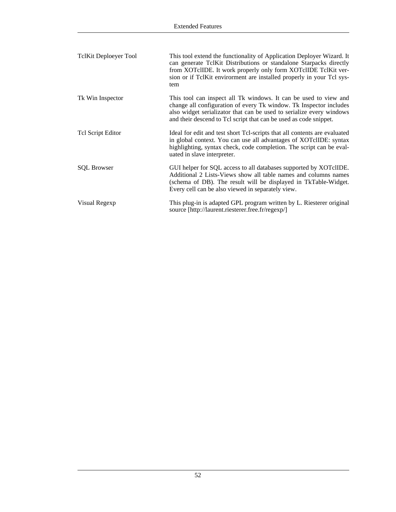| <b>TclKit Deploeyer Tool</b> | This tool extend the functionality of Application Deployer Wizard. It<br>can generate TclKit Distributions or standalone Starpacks directly<br>from XOTclIDE. It work properly only form XOTclIDE TclKit ver-<br>sion or if TclKit envirorment are installed properly in your Tcl sys-<br>tem |
|------------------------------|-----------------------------------------------------------------------------------------------------------------------------------------------------------------------------------------------------------------------------------------------------------------------------------------------|
| Tk Win Inspector             | This tool can inspect all Tk windows. It can be used to view and<br>change all configuration of every Tk window. Tk Inspector includes<br>also widget serializator that can be used to serialize every windows<br>and their descend to Tcl script that can be used as code snippet.           |
| Tel Script Editor            | Ideal for edit and test short Tcl-scripts that all contents are evaluated<br>in global context. You can use all advantages of XOT clIDE: syntax<br>highlighting, syntax check, code completion. The script can be eval-<br>uated in slave interpreter.                                        |
| <b>SQL Browser</b>           | GUI helper for SQL access to all databases supported by XOTclIDE.<br>Additional 2 Lists-Views show all table names and columns names<br>(schema of DB). The result will be displayed in TkTable-Widget.<br>Every cell can be also viewed in separately view.                                  |
| Visual Regexp                | This plug-in is adapted GPL program written by L. Riesterer original<br>source [http://laurent.riesterer.free.fr/regexp/]                                                                                                                                                                     |